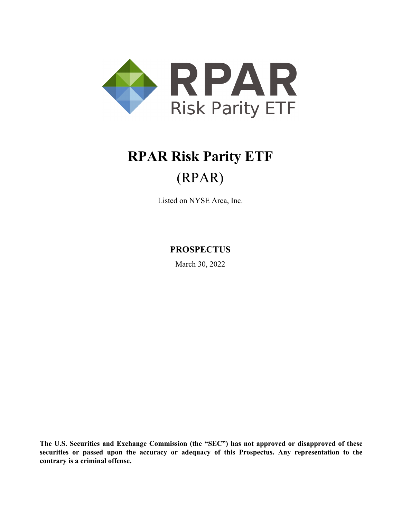

# **RPAR Risk Parity ETF** (RPAR)

Listed on NYSE Arca, Inc.

**PROSPECTUS**

March 30, 2022

**The U.S. Securities and Exchange Commission (the "SEC") has not approved or disapproved of these securities or passed upon the accuracy or adequacy of this Prospectus. Any representation to the contrary is a criminal offense.**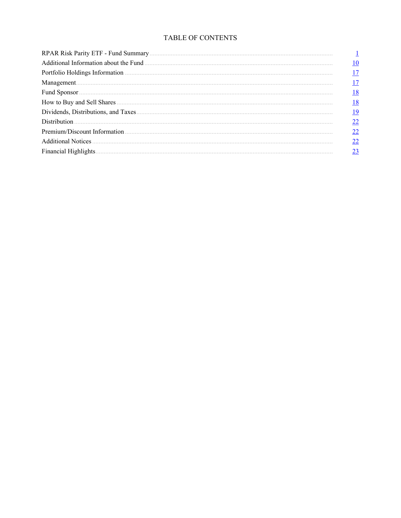## TABLE OF CONTENTS

| Financial Highlights. |           |
|-----------------------|-----------|
|                       | <u>10</u> |
|                       | 17        |
|                       | 17        |
|                       | 18        |
|                       | <u>18</u> |
|                       | <u>19</u> |
|                       | 22        |
|                       | 22        |
|                       | 22        |
|                       | 23        |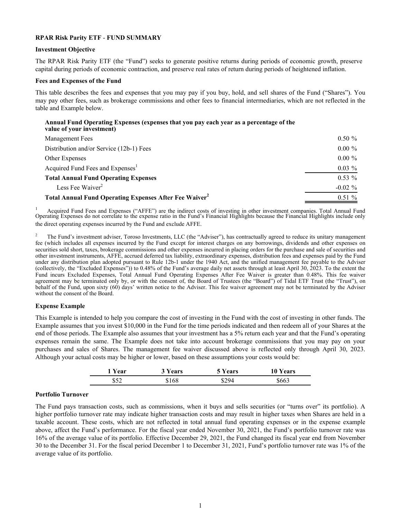## <span id="page-3-0"></span>**RPAR Risk Parity ETF** - **FUND SUMMARY**

#### **Investment Objective**

The RPAR Risk Parity ETF (the "Fund") seeks to generate positive returns during periods of economic growth, preserve capital during periods of economic contraction, and preserve real rates of return during periods of heightened inflation.

#### **Fees and Expenses of the Fund**

This table describes the fees and expenses that you may pay if you buy, hold, and sell shares of the Fund ("Shares"). You may pay other fees, such as brokerage commissions and other fees to financial intermediaries, which are not reflected in the table and Example below.

#### **Annual Fund Operating Expenses (expenses that you pay each year as a percentage of the value of your investment)**

| <b>Management Fees</b>                                                    | $0.50 \%$  |
|---------------------------------------------------------------------------|------------|
| Distribution and/or Service (12b-1) Fees                                  | $0.00 \%$  |
| Other Expenses                                                            | $0.00 \%$  |
| Acquired Fund Fees and Expenses <sup>1</sup>                              | $0.03\%$   |
| <b>Total Annual Fund Operating Expenses</b>                               | $0.53\%$   |
| Less Fee Waiver <sup>2</sup>                                              | $-0.02 \%$ |
| <b>Total Annual Fund Operating Expenses After Fee Waiver</b> <sup>2</sup> | $0.51\%$   |

<sup>1</sup> Acquired Fund Fees and Expenses ("AFFE") are the indirect costs of investing in other investment companies. Total Annual Fund Operating Expenses do not correlate to the expense ratio in the Fund's Financial Highlights the direct operating expenses incurred by the Fund and exclude AFFE.

<sup>2</sup> The Fund's investment adviser, Toroso Investments, LLC (the "Adviser"), has contractually agreed to reduce its unitary management fee (which includes all expenses incurred by the Fund except for interest charges on any borrowings, dividends and other expenses on securities sold short, taxes, brokerage commissions and other expenses incurred in placing orders for the purchase and sale of securities and other investment instruments, AFFE, accrued deferred tax liability, extraordinary expenses, distribution fees and expenses paid by the Fund under any distribution plan adopted pursuant to Rule 12b-1 under the 1940 Act, and the unified management fee payable to the Adviser (collectively, the "Excluded Expenses")) to 0.48% of the Fund's average daily net assets through at least April 30, 2023. To the extent the Fund incurs Excluded Expenses, Total Annual Fund Operating Expenses After Fee Waiver is greater than 0.48%. This fee waiver agreement may be terminated only by, or with the consent of, the Board of Trustees (the "Board") of Tidal ETF Trust (the "Trust"), on behalf of the Fund, upon sixty (60) days' written notice to the Adviser. This fee waiver agreement may not be terminated by the Adviser without the consent of the Board.

#### **Expense Example**

This Example is intended to help you compare the cost of investing in the Fund with the cost of investing in other funds. The Example assumes that you invest \$10,000 in the Fund for the time periods indicated and then redeem all of your Shares at the end of those periods. The Example also assumes that your investment has a 5% return each year and that the Fund's operating expenses remain the same. The Example does not take into account brokerage commissions that you may pay on your purchases and sales of Shares. The management fee waiver discussed above is reflected only through April 30, 2023. Although your actual costs may be higher or lower, based on these assumptions your costs would be:

| <b>Year</b> | ears | ears | ars |
|-------------|------|------|-----|
| 150         | 68   |      |     |

#### **Portfolio Turnover**

The Fund pays transaction costs, such as commissions, when it buys and sells securities (or "turns over" its portfolio). A higher portfolio turnover rate may indicate higher transaction costs and may result in higher taxes when Shares are held in a taxable account. These costs, which are not reflected in total annual fund operating expenses or in the expense example above, affect the Fund's performance. For the fiscal year ended November 30, 2021, the Fund's portfolio turnover rate was 16% of the average value of its portfolio. Effective December 29, 2021, the Fund changed its fiscal year end from November 30 to the December 31. For the fiscal period December 1 to December 31, 2021, Fund's portfolio turnover rate was 1% of the average value of its portfolio.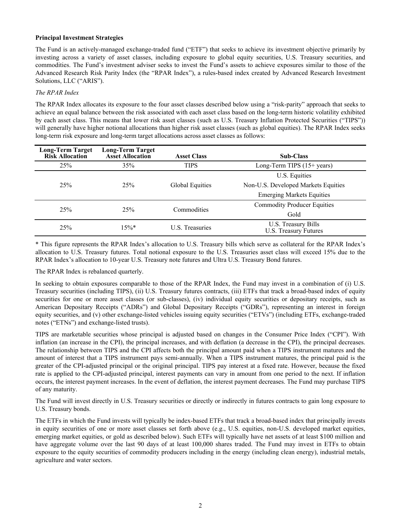#### **Principal Investment Strategies**

The Fund is an actively-managed exchange-traded fund ("ETF") that seeks to achieve its investment objective primarily by investing across a variety of asset classes, including exposure to global equity securities, U.S. Treasury securities, and commodities. The Fund's investment adviser seeks to invest the Fund's assets to achieve exposures similar to those of the Advanced Research Risk Parity Index (the "RPAR Index"), a rules-based index created by Advanced Research Investment Solutions, LLC ("ARIS").

#### *The RPAR Index*

The RPAR Index allocates its exposure to the four asset classes described below using a "risk-parity" approach that seeks to achieve an equal balance between the risk associated with each asset class based on the long-term historic volatility exhibited by each asset class. This means that lower risk asset classes (such as U.S. Treasury Inflation Protected Securities ("TIPS")) will generally have higher notional allocations than higher risk asset classes (such as global equities). The RPAR Index seeks long-term risk exposure and long-term target allocations across asset classes as follows:

| <b>Long-Term Target</b><br><b>Risk Allocation</b> | <b>Long-Term Target</b><br><b>Asset Allocation</b> | <b>Asset Class</b>     | <b>Sub-Class</b>                             |
|---------------------------------------------------|----------------------------------------------------|------------------------|----------------------------------------------|
| 25%                                               | 35%                                                | <b>TIPS</b>            | Long-Term TIPS $(15+)$ years)                |
|                                                   |                                                    |                        | U.S. Equities                                |
| 25%                                               | 25%                                                | <b>Global Equities</b> | Non-U.S. Developed Markets Equities          |
|                                                   |                                                    |                        | <b>Emerging Markets Equities</b>             |
| 25%                                               | 25%                                                | Commodities            | <b>Commodity Producer Equities</b>           |
|                                                   |                                                    |                        | Gold                                         |
| 25%                                               | $15\%*$                                            | <b>U.S. Treasuries</b> | U.S. Treasury Bills<br>U.S. Treasury Futures |

\* This figure represents the RPAR Index's allocation to U.S. Treasury bills which serve as collateral for the RPAR Index's allocation to U.S. Treasury futures. Total notional exposure to the U.S. Treasuries asset class will exceed 15% due to the RPAR Index's allocation to 10-year U.S. Treasury note futures and Ultra U.S. Treasury Bond futures.

The RPAR Index is rebalanced quarterly.

In seeking to obtain exposures comparable to those of the RPAR Index, the Fund may invest in a combination of (i) U.S. Treasury securities (including TIPS), (ii) U.S. Treasury futures contracts, (iii) ETFs that track a broad-based index of equity securities for one or more asset classes (or sub-classes), (iv) individual equity securities or depositary receipts, such as American Depositary Receipts ("ADRs") and Global Depositary Receipts ("GDRs"), representing an interest in foreign equity securities, and (v) other exchange-listed vehicles issuing equity securities ("ETVs") (including ETFs, exchange-traded notes ("ETNs") and exchange-listed trusts).

TIPS are marketable securities whose principal is adjusted based on changes in the Consumer Price Index ("CPI"). With inflation (an increase in the CPI), the principal increases, and with deflation (a decrease in the CPI), the principal decreases. The relationship between TIPS and the CPI affects both the principal amount paid when a TIPS instrument matures and the amount of interest that a TIPS instrument pays semi-annually. When a TIPS instrument matures, the principal paid is the greater of the CPI-adjusted principal or the original principal. TIPS pay interest at a fixed rate. However, because the fixed rate is applied to the CPI-adjusted principal, interest payments can vary in amount from one period to the next. If inflation occurs, the interest payment increases. In the event of deflation, the interest payment decreases. The Fund may purchase TIPS of any maturity.

The Fund will invest directly in U.S. Treasury securities or directly or indirectly in futures contracts to gain long exposure to U.S. Treasury bonds.

The ETFs in which the Fund invests will typically be index-based ETFs that track a broad-based index that principally invests in equity securities of one or more asset classes set forth above (e.g., U.S. equities, non-U.S. developed market equities, emerging market equities, or gold as described below). Such ETFs will typically have net assets of at least \$100 million and have aggregate volume over the last 90 days of at least 100,000 shares traded. The Fund may invest in ETFs to obtain exposure to the equity securities of commodity producers including in the energy (including clean energy), industrial metals, agriculture and water sectors.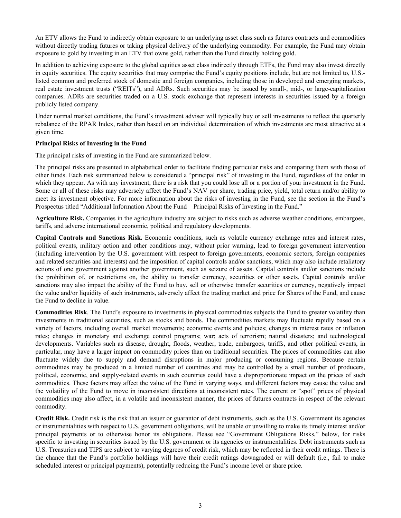An ETV allows the Fund to indirectly obtain exposure to an underlying asset class such as futures contracts and commodities without directly trading futures or taking physical delivery of the underlying commodity. For example, the Fund may obtain exposure to gold by investing in an ETV that owns gold, rather than the Fund directly holding gold.

In addition to achieving exposure to the global equities asset class indirectly through ETFs, the Fund may also invest directly in equity securities. The equity securities that may comprise the Fund's equity positions include, but are not limited to, U.S. listed common and preferred stock of domestic and foreign companies, including those in developed and emerging markets, real estate investment trusts ("REITs"), and ADRs. Such securities may be issued by small-, mid-, or large-capitalization companies. ADRs are securities traded on a U.S. stock exchange that represent interests in securities issued by a foreign publicly listed company.

Under normal market conditions, the Fund's investment adviser will typically buy or sell investments to reflect the quarterly rebalance of the RPAR Index, rather than based on an individual determination of which investments are most attractive at a given time.

## **Principal Risks of Investing in the Fund**

The principal risks of investing in the Fund are summarized below.

The principal risks are presented in alphabetical order to facilitate finding particular risks and comparing them with those of other funds. Each risk summarized below is considered a "principal risk" of investing in the Fund, regardless of the order in which they appear. As with any investment, there is a risk that you could lose all or a portion of your investment in the Fund. Some or all of these risks may adversely affect the Fund's NAV per share, trading price, yield, total return and/or ability to meet its investment objective. For more information about the risks of investing in the Fund, see the section in the Fund's Prospectus titled "Additional Information About the Fund—Principal Risks of Investing in the Fund."

**Agriculture Risk.** Companies in the agriculture industry are subject to risks such as adverse weather conditions, embargoes, tariffs, and adverse international economic, political and regulatory developments.

**Capital Controls and Sanctions Risk.** Economic conditions, such as volatile currency exchange rates and interest rates, political events, military action and other conditions may, without prior warning, lead to foreign government intervention (including intervention by the U.S. government with respect to foreign governments, economic sectors, foreign companies and related securities and interests) and the imposition of capital controls and/or sanctions, which may also include retaliatory actions of one government against another government, such as seizure of assets. Capital controls and/or sanctions include the prohibition of, or restrictions on, the ability to transfer currency, securities or other assets. Capital controls and/or sanctions may also impact the ability of the Fund to buy, sell or otherwise transfer securities or currency, negatively impact the value and/or liquidity of such instruments, adversely affect the trading market and price for Shares of the Fund, and cause the Fund to decline in value.

**Commodities Risk**. The Fund's exposure to investments in physical commodities subjects the Fund to greater volatility than investments in traditional securities, such as stocks and bonds. The commodities markets may fluctuate rapidly based on a variety of factors, including overall market movements; economic events and policies; changes in interest rates or inflation rates; changes in monetary and exchange control programs; war; acts of terrorism; natural disasters; and technological developments. Variables such as disease, drought, floods, weather, trade, embargoes, tariffs, and other political events, in particular, may have a larger impact on commodity prices than on traditional securities. The prices of commodities can also fluctuate widely due to supply and demand disruptions in major producing or consuming regions. Because certain commodities may be produced in a limited number of countries and may be controlled by a small number of producers, political, economic, and supply-related events in such countries could have a disproportionate impact on the prices of such commodities. These factors may affect the value of the Fund in varying ways, and different factors may cause the value and the volatility of the Fund to move in inconsistent directions at inconsistent rates. The current or "spot" prices of physical commodities may also affect, in a volatile and inconsistent manner, the prices of futures contracts in respect of the relevant commodity.

**Credit Risk.** Credit risk is the risk that an issuer or guarantor of debt instruments, such as the U.S. Government its agencies or instrumentalities with respect to U.S. government obligations, will be unable or unwilling to make its timely interest and/or principal payments or to otherwise honor its obligations. Please see "Government Obligations Risks," below, for risks specific to investing in securities issued by the U.S. government or its agencies or instrumentalities. Debt instruments such as U.S. Treasuries and TIPS are subject to varying degrees of credit risk, which may be reflected in their credit ratings. There is the chance that the Fund's portfolio holdings will have their credit ratings downgraded or will default (i.e., fail to make scheduled interest or principal payments), potentially reducing the Fund's income level or share price.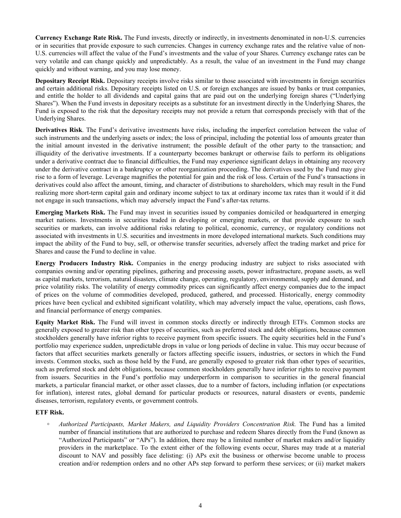**Currency Exchange Rate Risk.** The Fund invests, directly or indirectly, in investments denominated in non-U.S. currencies or in securities that provide exposure to such currencies. Changes in currency exchange rates and the relative value of non-U.S. currencies will affect the value of the Fund's investments and the value of your Shares. Currency exchange rates can be very volatile and can change quickly and unpredictably. As a result, the value of an investment in the Fund may change quickly and without warning, and you may lose money.

**Depositary Receipt Risk.** Depositary receipts involve risks similar to those associated with investments in foreign securities and certain additional risks. Depositary receipts listed on U.S. or foreign exchanges are issued by banks or trust companies, and entitle the holder to all dividends and capital gains that are paid out on the underlying foreign shares ("Underlying Shares"). When the Fund invests in depositary receipts as a substitute for an investment directly in the Underlying Shares, the Fund is exposed to the risk that the depositary receipts may not provide a return that corresponds precisely with that of the Underlying Shares.

**Derivatives Risk**. The Fund's derivative investments have risks, including the imperfect correlation between the value of such instruments and the underlying assets or index; the loss of principal, including the potential loss of amounts greater than the initial amount invested in the derivative instrument; the possible default of the other party to the transaction; and illiquidity of the derivative investments. If a counterparty becomes bankrupt or otherwise fails to perform its obligations under a derivative contract due to financial difficulties, the Fund may experience significant delays in obtaining any recovery under the derivative contract in a bankruptcy or other reorganization proceeding. The derivatives used by the Fund may give rise to a form of leverage. Leverage magnifies the potential for gain and the risk of loss. Certain of the Fund's transactions in derivatives could also affect the amount, timing, and character of distributions to shareholders, which may result in the Fund realizing more short-term capital gain and ordinary income subject to tax at ordinary income tax rates than it would if it did not engage in such transactions, which may adversely impact the Fund's after-tax returns.

**Emerging Markets Risk.** The Fund may invest in securities issued by companies domiciled or headquartered in emerging market nations. Investments in securities traded in developing or emerging markets, or that provide exposure to such securities or markets, can involve additional risks relating to political, economic, currency, or regulatory conditions not associated with investments in U.S. securities and investments in more developed international markets. Such conditions may impact the ability of the Fund to buy, sell, or otherwise transfer securities, adversely affect the trading market and price for Shares and cause the Fund to decline in value.

**Energy Producers Industry Risk.** Companies in the energy producing industry are subject to risks associated with companies owning and/or operating pipelines, gathering and processing assets, power infrastructure, propane assets, as well as capital markets, terrorism, natural disasters, climate change, operating, regulatory, environmental, supply and demand, and price volatility risks. The volatility of energy commodity prices can significantly affect energy companies due to the impact of prices on the volume of commodities developed, produced, gathered, and processed. Historically, energy commodity prices have been cyclical and exhibited significant volatility, which may adversely impact the value, operations, cash flows, and financial performance of energy companies.

**Equity Market Risk.** The Fund will invest in common stocks directly or indirectly through ETFs. Common stocks are generally exposed to greater risk than other types of securities, such as preferred stock and debt obligations, because common stockholders generally have inferior rights to receive payment from specific issuers. The equity securities held in the Fund's portfolio may experience sudden, unpredictable drops in value or long periods of decline in value. This may occur because of factors that affect securities markets generally or factors affecting specific issuers, industries, or sectors in which the Fund invests. Common stocks, such as those held by the Fund, are generally exposed to greater risk than other types of securities, such as preferred stock and debt obligations, because common stockholders generally have inferior rights to receive payment from issuers. Securities in the Fund's portfolio may underperform in comparison to securities in the general financial markets, a particular financial market, or other asset classes, due to a number of factors, including inflation (or expectations for inflation), interest rates, global demand for particular products or resources, natural disasters or events, pandemic diseases, terrorism, regulatory events, or government controls.

## **ETF Risk.**

*◦ Authorized Participants, Market Makers, and Liquidity Providers Concentration Risk.* The Fund has a limited number of financial institutions that are authorized to purchase and redeem Shares directly from the Fund (known as "Authorized Participants" or "APs"). In addition, there may be a limited number of market makers and/or liquidity providers in the marketplace. To the extent either of the following events occur, Shares may trade at a material discount to NAV and possibly face delisting: (i) APs exit the business or otherwise become unable to process creation and/or redemption orders and no other APs step forward to perform these services; or (ii) market makers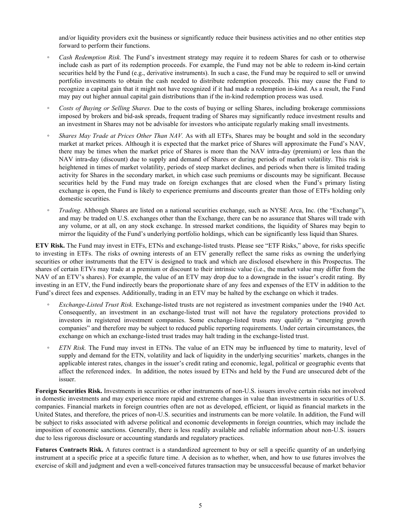and/or liquidity providers exit the business or significantly reduce their business activities and no other entities step forward to perform their functions.

- *Cash Redemption Risk.* The Fund's investment strategy may require it to redeem Shares for cash or to otherwise include cash as part of its redemption proceeds. For example, the Fund may not be able to redeem in-kind certain securities held by the Fund (e.g., derivative instruments). In such a case, the Fund may be required to sell or unwind portfolio investments to obtain the cash needed to distribute redemption proceeds. This may cause the Fund to recognize a capital gain that it might not have recognized if it had made a redemption in-kind. As a result, the Fund may pay out higher annual capital gain distributions than if the in-kind redemption process was used.
- *◦ Costs of Buying or Selling Shares.* Due to the costs of buying or selling Shares, including brokerage commissions imposed by brokers and bid-ask spreads, frequent trading of Shares may significantly reduce investment results and an investment in Shares may not be advisable for investors who anticipate regularly making small investments.
- *Shares May Trade at Prices Other Than NAV.* As with all ETFs, Shares may be bought and sold in the secondary market at market prices. Although it is expected that the market price of Shares will approximate the Fund's NAV, there may be times when the market price of Shares is more than the NAV intra-day (premium) or less than the NAV intra-day (discount) due to supply and demand of Shares or during periods of market volatility. This risk is heightened in times of market volatility, periods of steep market declines, and periods when there is limited trading activity for Shares in the secondary market, in which case such premiums or discounts may be significant. Because securities held by the Fund may trade on foreign exchanges that are closed when the Fund's primary listing exchange is open, the Fund is likely to experience premiums and discounts greater than those of ETFs holding only domestic securities.
- *Trading*. Although Shares are listed on a national securities exchange, such as NYSE Arca, Inc. (the "Exchange"), and may be traded on U.S. exchanges other than the Exchange, there can be no assurance that Shares will trade with any volume, or at all, on any stock exchange. In stressed market conditions, the liquidity of Shares may begin to mirror the liquidity of the Fund's underlying portfolio holdings, which can be significantly less liquid than Shares.

**ETV Risk.** The Fund may invest in ETFs, ETNs and exchange-listed trusts. Please see "ETF Risks," above, for risks specific to investing in ETFs. The risks of owning interests of an ETV generally reflect the same risks as owning the underlying securities or other instruments that the ETV is designed to track and which are disclosed elsewhere in this Prospectus. The shares of certain ETVs may trade at a premium or discount to their intrinsic value (i.e., the market value may differ from the NAV of an ETV's shares). For example, the value of an ETV may drop due to a downgrade in the issuer's credit rating. By investing in an ETV, the Fund indirectly bears the proportionate share of any fees and expenses of the ETV in addition to the Fund's direct fees and expenses. Additionally, trading in an ETV may be halted by the exchange on which it trades.

- *Exchange-Listed Trust Risk.* Exchange-listed trusts are not registered as investment companies under the 1940 Act. Consequently, an investment in an exchange-listed trust will not have the regulatory protections provided to investors in registered investment companies. Some exchange-listed trusts may qualify as "emerging growth companies" and therefore may be subject to reduced public reporting requirements. Under certain circumstances, the exchange on which an exchange-listed trust trades may halt trading in the exchange-listed trust.
- *ETN Risk.* The Fund may invest in ETNs. The value of an ETN may be influenced by time to maturity, level of supply and demand for the ETN, volatility and lack of liquidity in the underlying securities' markets, changes in the applicable interest rates, changes in the issuer's credit rating and economic, legal, political or geographic events that affect the referenced index. In addition, the notes issued by ETNs and held by the Fund are unsecured debt of the issuer.

**Foreign Securities Risk.** Investments in securities or other instruments of non-U.S. issuers involve certain risks not involved in domestic investments and may experience more rapid and extreme changes in value than investments in securities of U.S. companies. Financial markets in foreign countries often are not as developed, efficient, or liquid as financial markets in the United States, and therefore, the prices of non-U.S. securities and instruments can be more volatile. In addition, the Fund will be subject to risks associated with adverse political and economic developments in foreign countries, which may include the imposition of economic sanctions. Generally, there is less readily available and reliable information about non-U.S. issuers due to less rigorous disclosure or accounting standards and regulatory practices.

Futures Contracts Risk. A futures contract is a standardized agreement to buy or sell a specific quantity of an underlying instrument at a specific price at a specific future time. A decision as to whether, when, and how to use futures involves the exercise of skill and judgment and even a well-conceived futures transaction may be unsuccessful because of market behavior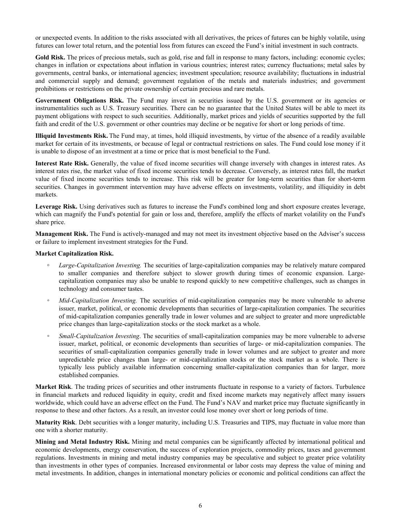or unexpected events. In addition to the risks associated with all derivatives, the prices of futures can be highly volatile, using futures can lower total return, and the potential loss from futures can exceed the Fund's initial investment in such contracts.

Gold Risk. The prices of precious metals, such as gold, rise and fall in response to many factors, including: economic cycles; changes in inflation or expectations about inflation in various countries; interest rates; currency fluctuations; metal sales by governments, central banks, or international agencies; investment speculation; resource availability; fluctuations in industrial and commercial supply and demand; government regulation of the metals and materials industries; and government prohibitions or restrictions on the private ownership of certain precious and rare metals.

Government Obligations Risk. The Fund may invest in securities issued by the U.S. government or its agencies or instrumentalities such as U.S. Treasury securities. There can be no guarantee that the United States will be able to meet its payment obligations with respect to such securities. Additionally, market prices and yields of securities supported by the full faith and credit of the U.S. government or other countries may decline or be negative for short or long periods of time.

**Illiquid Investments Risk.** The Fund may, at times, hold illiquid investments, by virtue of the absence of a readily available market for certain of its investments, or because of legal or contractual restrictions on sales. The Fund could lose money if it is unable to dispose of an investment at a time or price that is most beneficial to the Fund.

**Interest Rate Risk.** Generally, the value of fixed income securities will change inversely with changes in interest rates. As interest rates rise, the market value of fixed income securities tends to decrease. Conversely, as interest rates fall, the market value of fixed income securities tends to increase. This risk will be greater for long-term securities than for short-term securities. Changes in government intervention may have adverse effects on investments, volatility, and illiquidity in debt markets.

**Leverage Risk.** Using derivatives such as futures to increase the Fund's combined long and short exposure creates leverage, which can magnify the Fund's potential for gain or loss and, therefore, amplify the effects of market volatility on the Fund's share price.

**Management Risk.** The Fund is actively-managed and may not meet its investment objective based on the Adviser's success or failure to implement investment strategies for the Fund.

#### **Market Capitalization Risk.**

- Large-Capitalization Investing. The securities of large-capitalization companies may be relatively mature compared to smaller companies and therefore subject to slower growth during times of economic expansion. Largecapitalization companies may also be unable to respond quickly to new competitive challenges, such as changes in technology and consumer tastes.
- *Mid-Capitalization Investing.* The securities of mid-capitalization companies may be more vulnerable to adverse issuer, market, political, or economic developments than securities of large-capitalization companies. The securities of mid-capitalization companies generally trade in lower volumes and are subject to greater and more unpredictable price changes than large-capitalization stocks or the stock market as a whole.
- *Small-Capitalization Investing*. The securities of small-capitalization companies may be more vulnerable to adverse issuer, market, political, or economic developments than securities of large- or mid-capitalization companies. The securities of small-capitalization companies generally trade in lower volumes and are subject to greater and more unpredictable price changes than large- or mid-capitalization stocks or the stock market as a whole. There is typically less publicly available information concerning smaller-capitalization companies than for larger, more established companies.

**Market Risk**. The trading prices of securities and other instruments fluctuate in response to a variety of factors. Turbulence in financial markets and reduced liquidity in equity, credit and fixed income markets may negatively affect many issuers worldwide, which could have an adverse effect on the Fund. The Fund's NAV and market price may fluctuate significantly in response to these and other factors. As a result, an investor could lose money over short or long periods of time.

**Maturity Risk**. Debt securities with a longer maturity, including U.S. Treasuries and TIPS, may fluctuate in value more than one with a shorter maturity.

**Mining and Metal Industry Risk.** Mining and metal companies can be significantly affected by international political and economic developments, energy conservation, the success of exploration projects, commodity prices, taxes and government regulations. Investments in mining and metal industry companies may be speculative and subject to greater price volatility than investments in other types of companies. Increased environmental or labor costs may depress the value of mining and metal investments. In addition, changes in international monetary policies or economic and political conditions can affect the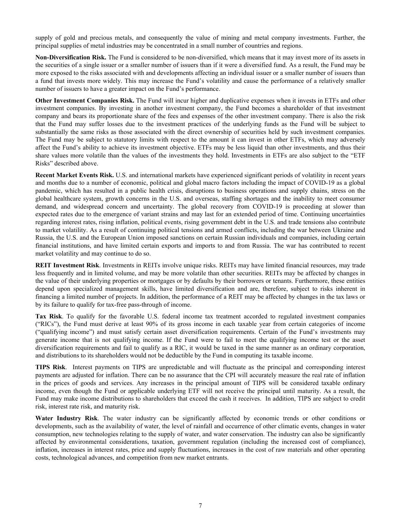supply of gold and precious metals, and consequently the value of mining and metal company investments. Further, the principal supplies of metal industries may be concentrated in a small number of countries and regions.

**Non-Diversification Risk.** The Fund is considered to be non-diversified, which means that it may invest more of its assets in the securities of a single issuer or a smaller number of issuers than if it were a diversified fund. As a result, the Fund may be more exposed to the risks associated with and developments affecting an individual issuer or a smaller number of issuers than a fund that invests more widely. This may increase the Fund's volatility and cause the performance of a relatively smaller number of issuers to have a greater impact on the Fund's performance.

**Other Investment Companies Risk.** The Fund will incur higher and duplicative expenses when it invests in ETFs and other investment companies. By investing in another investment company, the Fund becomes a shareholder of that investment company and bears its proportionate share of the fees and expenses of the other investment company. There is also the risk that the Fund may suffer losses due to the investment practices of the underlying funds as the Fund will be subject to substantially the same risks as those associated with the direct ownership of securities held by such investment companies. The Fund may be subject to statutory limits with respect to the amount it can invest in other ETFs, which may adversely affect the Fund's ability to achieve its investment objective. ETFs may be less liquid than other investments, and thus their share values more volatile than the values of the investments they hold. Investments in ETFs are also subject to the "ETF Risks" described above.

**Recent Market Events Risk.** U.S. and international markets have experienced significant periods of volatility in recent years and months due to a number of economic, political and global macro factors including the impact of COVID-19 as a global pandemic, which has resulted in a public health crisis, disruptions to business operations and supply chains, stress on the global healthcare system, growth concerns in the U.S. and overseas, staffing shortages and the inability to meet consumer demand, and widespread concern and uncertainty. The global recovery from COVID-19 is proceeding at slower than expected rates due to the emergence of variant strains and may last for an extended period of time. Continuing uncertainties regarding interest rates, rising inflation, political events, rising government debt in the U.S. and trade tensions also contribute to market volatility. As a result of continuing political tensions and armed conflicts, including the war between Ukraine and Russia, the U.S. and the European Union imposed sanctions on certain Russian individuals and companies, including certain financial institutions, and have limited certain exports and imports to and from Russia. The war has contributed to recent market volatility and may continue to do so.

**REIT Investment Risk**. Investments in REITs involve unique risks. REITs may have limited financial resources, may trade less frequently and in limited volume, and may be more volatile than other securities. REITs may be affected by changes in the value of their underlying properties or mortgages or by defaults by their borrowers or tenants. Furthermore, these entities depend upon specialized management skills, have limited diversification and are, therefore, subject to risks inherent in financing a limited number of projects. In addition, the performance of a REIT may be affected by changes in the tax laws or by its failure to qualify for tax-free pass-through of income.

**Tax Risk**. To qualify for the favorable U.S. federal income tax treatment accorded to regulated investment companies ("RICs"), the Fund must derive at least 90% of its gross income in each taxable year from certain categories of income ("qualifying income") and must satisfy certain asset diversification requirements. Certain of the Fund's investments may generate income that is not qualifying income. If the Fund were to fail to meet the qualifying income test or the asset diversification requirements and fail to qualify as a RIC, it would be taxed in the same manner as an ordinary corporation, and distributions to its shareholders would not be deductible by the Fund in computing its taxable income.

**TIPS Risk**. Interest payments on TIPS are unpredictable and will fluctuate as the principal and corresponding interest payments are adjusted for inflation. There can be no assurance that the CPI will accurately measure the real rate of inflation in the prices of goods and services. Any increases in the principal amount of TIPS will be considered taxable ordinary income, even though the Fund or applicable underlying ETF will not receive the principal until maturity. As a result, the Fund may make income distributions to shareholders that exceed the cash it receives. In addition, TIPS are subject to credit risk, interest rate risk, and maturity risk.

**Water Industry Risk**. The water industry can be significantly affected by economic trends or other conditions or developments, such as the availability of water, the level of rainfall and occurrence of other climatic events, changes in water consumption, new technologies relating to the supply of water, and water conservation. The industry can also be significantly affected by environmental considerations, taxation, government regulation (including the increased cost of compliance), inflation, increases in interest rates, price and supply fluctuations, increases in the cost of raw materials and other operating costs, technological advances, and competition from new market entrants.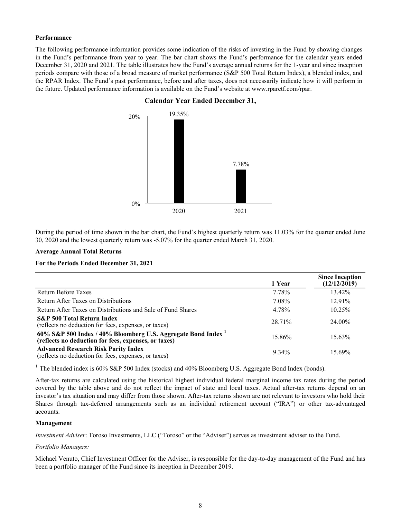#### **Performance**

The following performance information provides some indication of the risks of investing in the Fund by showing changes in the Fund's performance from year to year. The bar chart shows the Fund's performance for the calendar years ended December 31, 2020 and 2021. The table illustrates how the Fund's average annual returns for the 1-year and since inception periods compare with those of a broad measure of market performance (S&P 500 Total Return Index), a blended index, and the RPAR Index. The Fund's past performance, before and after taxes, does not necessarily indicate how it will perform in the future. Updated performance information is available on the Fund's website at www.rparetf.com/rpar.



## **Calendar Year Ended December 31,**

During the period of time shown in the bar chart, the Fund's highest quarterly return was 11.03% for the quarter ended June 30, 2020 and the lowest quarterly return was -5.07% for the quarter ended March 31, 2020.

#### **Average Annual Total Returns**

## **For the Periods Ended December 31, 2021**

|                                                                                                                       | 1 Year   | <b>Since Inception</b><br>(12/12/2019) |
|-----------------------------------------------------------------------------------------------------------------------|----------|----------------------------------------|
| Return Before Taxes                                                                                                   | 7.78%    | 13.42%                                 |
| Return After Taxes on Distributions                                                                                   | 7.08%    | $12.91\%$                              |
| Return After Taxes on Distributions and Sale of Fund Shares                                                           | 4.78%    | $10.25\%$                              |
| <b>S&amp;P</b> 500 Total Return Index<br>(reflects no deduction for fees, expenses, or taxes)                         | 28.71%   | 24.00%                                 |
| 60% S&P 500 Index / 40% Bloomberg U.S. Aggregate Bond Index 1<br>(reflects no deduction for fees, expenses, or taxes) | 15.86%   | $15.63\%$                              |
| <b>Advanced Research Risk Parity Index</b><br>(reflects no deduction for fees, expenses, or taxes)                    | $9.34\%$ | 15.69%                                 |

<sup>1</sup> The blended index is 60% S&P 500 Index (stocks) and 40% Bloomberg U.S. Aggregate Bond Index (bonds).

After-tax returns are calculated using the historical highest individual federal marginal income tax rates during the period covered by the table above and do not reflect the impact of state and local taxes. Actual after-tax returns depend on an investor's tax situation and may differ from those shown. After-tax returns shown are not relevant to investors who hold their Shares through tax-deferred arrangements such as an individual retirement account ("IRA") or other tax-advantaged accounts.

#### **Management**

*Investment Adviser*: Toroso Investments, LLC ("Toroso" or the "Adviser") serves as investment adviser to the Fund.

#### *Portfolio Managers:*

Michael Venuto, Chief Investment Officer for the Adviser, is responsible for the day-to-day management of the Fund and has been a portfolio manager of the Fund since its inception in December 2019.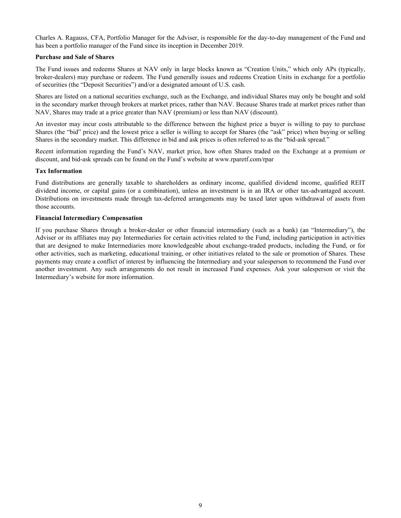Charles A. Ragauss, CFA, Portfolio Manager for the Adviser, is responsible for the day-to-day management of the Fund and has been a portfolio manager of the Fund since its inception in December 2019.

#### **Purchase and Sale of Shares**

The Fund issues and redeems Shares at NAV only in large blocks known as "Creation Units," which only APs (typically, broker-dealers) may purchase or redeem. The Fund generally issues and redeems Creation Units in exchange for a portfolio of securities (the "Deposit Securities") and/or a designated amount of U.S. cash.

Shares are listed on a national securities exchange, such as the Exchange, and individual Shares may only be bought and sold in the secondary market through brokers at market prices, rather than NAV. Because Shares trade at market prices rather than NAV, Shares may trade at a price greater than NAV (premium) or less than NAV (discount).

An investor may incur costs attributable to the difference between the highest price a buyer is willing to pay to purchase Shares (the "bid" price) and the lowest price a seller is willing to accept for Shares (the "ask" price) when buying or selling Shares in the secondary market. This difference in bid and ask prices is often referred to as the "bid-ask spread."

Recent information regarding the Fund's NAV, market price, how often Shares traded on the Exchange at a premium or discount, and bid-ask spreads can be found on the Fund's website at www.rparetf.com/rpar

#### **Tax Information**

Fund distributions are generally taxable to shareholders as ordinary income, qualified dividend income, qualified REIT dividend income, or capital gains (or a combination), unless an investment is in an IRA or other tax-advantaged account. Distributions on investments made through tax-deferred arrangements may be taxed later upon withdrawal of assets from those accounts.

#### **Financial Intermediary Compensation**

If you purchase Shares through a broker-dealer or other financial intermediary (such as a bank) (an "Intermediary"), the Adviser or its affiliates may pay Intermediaries for certain activities related to the Fund, including participation in activities that are designed to make Intermediaries more knowledgeable about exchange-traded products, including the Fund, or for other activities, such as marketing, educational training, or other initiatives related to the sale or promotion of Shares. These payments may create a conflict of interest by influencing the Intermediary and your salesperson to recommend the Fund over another investment. Any such arrangements do not result in increased Fund expenses. Ask your salesperson or visit the Intermediary's website for more information.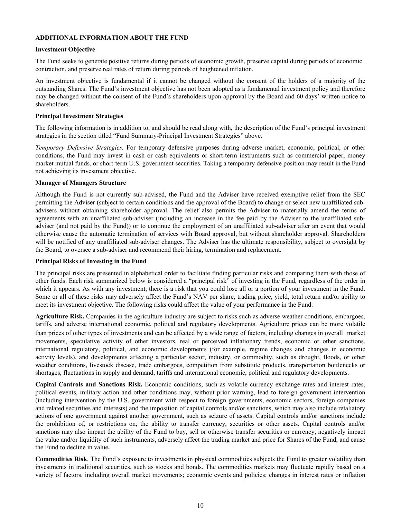## <span id="page-12-0"></span>**ADDITIONAL INFORMATION ABOUT THE FUND**

#### **Investment Objective**

The Fund seeks to generate positive returns during periods of economic growth, preserve capital during periods of economic contraction, and preserve real rates of return during periods of heightened inflation.

An investment objective is fundamental if it cannot be changed without the consent of the holders of a majority of the outstanding Shares. The Fund's investment objective has not been adopted as a fundamental investment policy and therefore may be changed without the consent of the Fund's shareholders upon approval by the Board and 60 days' written notice to shareholders.

#### **Principal Investment Strategies**

The following information is in addition to, and should be read along with, the description of the Fund's principal investment strategies in the section titled "Fund Summary-Principal Investment Strategies" above.

*Temporary Defensive Strategies.* For temporary defensive purposes during adverse market, economic, political, or other conditions, the Fund may invest in cash or cash equivalents or short-term instruments such as commercial paper, money market mutual funds, or short-term U.S. government securities. Taking a temporary defensive position may result in the Fund not achieving its investment objective.

#### **Manager of Managers Structure**

Although the Fund is not currently sub-advised, the Fund and the Adviser have received exemptive relief from the SEC permitting the Adviser (subject to certain conditions and the approval of the Board) to change or select new unaffiliated subadvisers without obtaining shareholder approval. The relief also permits the Adviser to materially amend the terms of agreements with an unaffiliated sub-adviser (including an increase in the fee paid by the Adviser to the unaffiliated subadviser (and not paid by the Fund)) or to continue the employment of an unaffiliated sub-adviser after an event that would otherwise cause the automatic termination of services with Board approval, but without shareholder approval. Shareholders will be notified of any unaffiliated sub-adviser changes. The Adviser has the ultimate responsibility, subject to oversight by the Board, to oversee a sub-adviser and recommend their hiring, termination and replacement.

#### **Principal Risks of Investing in the Fund**

The principal risks are presented in alphabetical order to facilitate finding particular risks and comparing them with those of other funds. Each risk summarized below is considered a "principal risk" of investing in the Fund, regardless of the order in which it appears. As with any investment, there is a risk that you could lose all or a portion of your investment in the Fund. Some or all of these risks may adversely affect the Fund's NAV per share, trading price, yield, total return and/or ability to meet its investment objective. The following risks could affect the value of your performance in the Fund:

**Agriculture Risk.** Companies in the agriculture industry are subject to risks such as adverse weather conditions, embargoes, tariffs, and adverse international economic, political and regulatory developments. Agriculture prices can be more volatile than prices of other types of investments and can be affected by a wide range of factors, including changes in overall market movements, speculative activity of other investors, real or perceived inflationary trends, economic or other sanctions, international regulatory, political, and economic developments (for example, regime changes and changes in economic activity levels), and developments affecting a particular sector, industry, or commodity, such as drought, floods, or other weather conditions, livestock disease, trade embargoes, competition from substitute products, transportation bottlenecks or shortages, fluctuations in supply and demand, tariffs and international economic, political and regulatory developments.

**Capital Controls and Sanctions Risk.** Economic conditions, such as volatile currency exchange rates and interest rates, political events, military action and other conditions may, without prior warning, lead to foreign government intervention (including intervention by the U.S. government with respect to foreign governments, economic sectors, foreign companies and related securities and interests) and the imposition of capital controls and/or sanctions, which may also include retaliatory actions of one government against another government, such as seizure of assets. Capital controls and/or sanctions include the prohibition of, or restrictions on, the ability to transfer currency, securities or other assets. Capital controls and/or sanctions may also impact the ability of the Fund to buy, sell or otherwise transfer securities or currency, negatively impact the value and/or liquidity of such instruments, adversely affect the trading market and price for Shares of the Fund, and cause the Fund to decline in value**.**

**Commodities Risk**. The Fund's exposure to investments in physical commodities subjects the Fund to greater volatility than investments in traditional securities, such as stocks and bonds. The commodities markets may fluctuate rapidly based on a variety of factors, including overall market movements; economic events and policies; changes in interest rates or inflation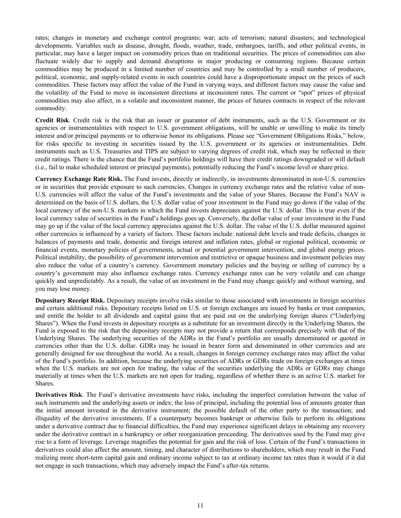rates; changes in monetary and exchange control programs; war; acts of terrorism; natural disasters; and technological developments. Variables such as disease, drought, floods, weather, trade, embargoes, tariffs, and other political events, in particular, may have a larger impact on commodity prices than on traditional securities. The prices of commodities can also fluctuate widely due to supply and demand disruptions in major producing or consuming regions. Because certain commodities may be produced in a limited number of countries and may be controlled by a small number of producers, political, economic, and supply-related events in such countries could have a disproportionate impact on the prices of such commodities. These factors may affect the value of the Fund in varying ways, and different factors may cause the value and the volatility of the Fund to move in inconsistent directions at inconsistent rates. The current or "spot" prices of physical commodities may also affect, in a volatile and inconsistent manner, the prices of futures contracts in respect of the relevant commodity.

**Credit Risk**. Credit risk is the risk that an issuer or guarantor of debt instruments, such as the U.S. Government or its agencies or instrumentalities with respect to U.S. government obligations, will be unable or unwilling to make its timely interest and/or principal payments or to otherwise honor its obligations. Please see "Government Obligations Risks," below, for risks specific to investing in securities issued by the U.S. government or its agencies or instrumentalities. Debt instruments such as U.S. Treasuries and TIPS are subject to varying degrees of credit risk, which may be reflected in their credit ratings. There is the chance that the Fund's portfolio holdings will have their credit ratings downgraded or will default (i.e., fail to make scheduled interest or principal payments), potentially reducing the Fund's income level or share price.

**Currency Exchange Rate Risk.** The Fund invests, directly or indirectly, in investments denominated in non-U.S. currencies or in securities that provide exposure to such currencies. Changes in currency exchange rates and the relative value of non-U.S. currencies will affect the value of the Fund's investments and the value of your Shares. Because the Fund's NAV is determined on the basis of U.S. dollars, the U.S. dollar value of your investment in the Fund may go down if the value of the local currency of the non-U.S. markets in which the Fund invests depreciates against the U.S. dollar. This is true even if the local currency value of securities in the Fund's holdings goes up. Conversely, the dollar value of your investment in the Fund may go up if the value of the local currency appreciates against the U.S. dollar. The value of the U.S. dollar measured against other currencies is influenced by a variety of factors. These factors include: national debt levels and trade deficits, changes in balances of payments and trade, domestic and foreign interest and inflation rates, global or regional political, economic or financial events, monetary policies of governments, actual or potential government intervention, and global energy prices. Political instability, the possibility of government intervention and restrictive or opaque business and investment policies may also reduce the value of a country's currency. Government monetary policies and the buying or selling of currency by a country's government may also influence exchange rates. Currency exchange rates can be very volatile and can change quickly and unpredictably. As a result, the value of an investment in the Fund may change quickly and without warning, and you may lose money.

**Depositary Receipt Risk.** Depositary receipts involve risks similar to those associated with investments in foreign securities and certain additional risks. Depositary receipts listed on U.S. or foreign exchanges are issued by banks or trust companies, and entitle the holder to all dividends and capital gains that are paid out on the underlying foreign shares ("Underlying Shares"). When the Fund invests in depositary receipts as a substitute for an investment directly in the Underlying Shares, the Fund is exposed to the risk that the depositary receipts may not provide a return that corresponds precisely with that of the Underlying Shares. The underlying securities of the ADRs in the Fund's portfolio are usually denominated or quoted in currencies other than the U.S. dollar. GDRs may be issued in bearer form and denominated in other currencies and are generally designed for use throughout the world. As a result, changes in foreign currency exchange rates may affect the value of the Fund's portfolio. In addition, because the underlying securities of ADRs or GDRs trade on foreign exchanges at times when the U.S. markets are not open for trading, the value of the securities underlying the ADRs or GDRs may change materially at times when the U.S. markets are not open for trading, regardless of whether there is an active U.S. market for Shares.

**Derivatives Risk**. The Fund's derivative investments have risks, including the imperfect correlation between the value of such instruments and the underlying assets or index; the loss of principal, including the potential loss of amounts greater than the initial amount invested in the derivative instrument; the possible default of the other party to the transaction; and illiquidity of the derivative investments. If a counterparty becomes bankrupt or otherwise fails to perform its obligations under a derivative contract due to financial difficulties, the Fund may experience significant delays in obtaining any recovery under the derivative contract in a bankruptcy or other reorganization proceeding. The derivatives used by the Fund may give rise to a form of leverage. Leverage magnifies the potential for gain and the risk of loss. Certain of the Fund's transactions in derivatives could also affect the amount, timing, and character of distributions to shareholders, which may result in the Fund realizing more short-term capital gain and ordinary income subject to tax at ordinary income tax rates than it would if it did not engage in such transactions, which may adversely impact the Fund's after-tax returns.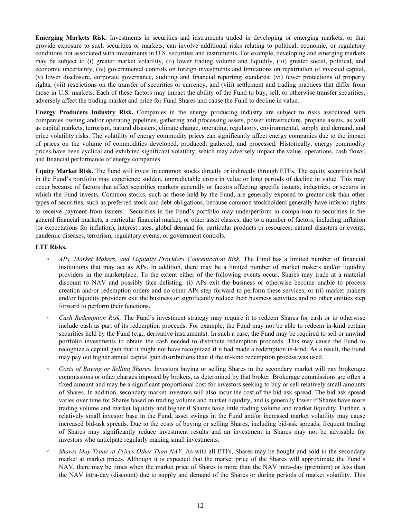**Emerging Markets Risk.** Investments in securities and instruments traded in developing or emerging markets, or that provide exposure to such securities or markets, can involve additional risks relating to political, economic, or regulatory conditions not associated with investments in U.S. securities and instruments. For example, developing and emerging markets may be subject to (i) greater market volatility, (ii) lower trading volume and liquidity, (iii) greater social, political, and economic uncertainty, (iv) governmental controls on foreign investments and limitations on repatriation of invested capital, (v) lower disclosure, corporate governance, auditing and financial reporting standards, (vi) fewer protections of property rights, (vii) restrictions on the transfer of securities or currency, and (viii) settlement and trading practices that differ from those in U.S. markets. Each of these factors may impact the ability of the Fund to buy, sell, or otherwise transfer securities, adversely affect the trading market and price for Fund Shares and cause the Fund to decline in value.

**Energy Producers Industry Risk.** Companies in the energy producing industry are subject to risks associated with companies owning and/or operating pipelines, gathering and processing assets, power infrastructure, propane assets, as well as capital markets, terrorism, natural disasters, climate change, operating, regulatory, environmental, supply and demand, and price volatility risks. The volatility of energy commodity prices can significantly affect energy companies due to the impact of prices on the volume of commodities developed, produced, gathered, and processed. Historically, energy commodity prices have been cyclical and exhibited significant volatility, which may adversely impact the value, operations, cash flows, and financial performance of energy companies.

**Equity Market Risk.** The Fund will invest in common stocks directly or indirectly through ETFs. The equity securities held in the Fund's portfolio may experience sudden, unpredictable drops in value or long periods of decline in value. This may occur because of factors that affect securities markets generally or factors affecting specific issuers, industries, or sectors in which the Fund invests. Common stocks, such as those held by the Fund, are generally exposed to greater risk than other types of securities, such as preferred stock and debt obligations, because common stockholders generally have inferior rights to receive payment from issuers. Securities in the Fund's portfolio may underperform in comparison to securities in the general financial markets, a particular financial market, or other asset classes, due to a number of factors, including inflation (or expectations for inflation), interest rates, global demand for particular products or resources, natural disasters or events, pandemic diseases, terrorism, regulatory events, or government controls.

#### **ETF Risks.**

- *◦ APs, Market Makers, and Liquidity Providers Concentration Risk.* The Fund has a limited number of financial institutions that may act as APs. In addition, there may be a limited number of market makers and/or liquidity providers in the marketplace. To the extent either of the following events occur, Shares may trade at a material discount to NAV and possibly face delisting: (i) APs exit the business or otherwise become unable to process creation and/or redemption orders and no other APs step forward to perform these services; or (ii) market makers and/or liquidity providers exit the business or significantly reduce their business activities and no other entities step forward to perform their functions.
- *Cash Redemption Risk.* The Fund's investment strategy may require it to redeem Shares for cash or to otherwise include cash as part of its redemption proceeds. For example, the Fund may not be able to redeem in-kind certain securities held by the Fund (e.g., derivative instruments). In such a case, the Fund may be required to sell or unwind portfolio investments to obtain the cash needed to distribute redemption proceeds. This may cause the Fund to recognize a capital gain that it might not have recognized if it had made a redemption in-kind. As a result, the Fund may pay out higher annual capital gain distributions than if the in-kind redemption process was used.
- *◦ Costs of Buying or Selling Shares.* Investors buying or selling Shares in the secondary market will pay brokerage commissions or other charges imposed by brokers, as determined by that broker. Brokerage commissions are often a fixed amount and may be a significant proportional cost for investors seeking to buy or sell relatively small amounts of Shares. In addition, secondary market investors will also incur the cost of the bid-ask spread. The bid-ask spread varies over time for Shares based on trading volume and market liquidity, and is generally lower if Shares have more trading volume and market liquidity and higher if Shares have little trading volume and market liquidity. Further, a relatively small investor base in the Fund, asset swings in the Fund and/or increased market volatility may cause increased bid-ask spreads. Due to the costs of buying or selling Shares, including bid-ask spreads, frequent trading of Shares may significantly reduce investment results and an investment in Shares may not be advisable for investors who anticipate regularly making small investments.
- *Shares May Trade at Prices Other Than NAV.* As with all ETFs, Shares may be bought and sold in the secondary market at market prices. Although it is expected that the market price of the Shares will approximate the Fund's NAV, there may be times when the market price of Shares is more than the NAV intra-day (premium) or less than the NAV intra-day (discount) due to supply and demand of the Shares or during periods of market volatility. This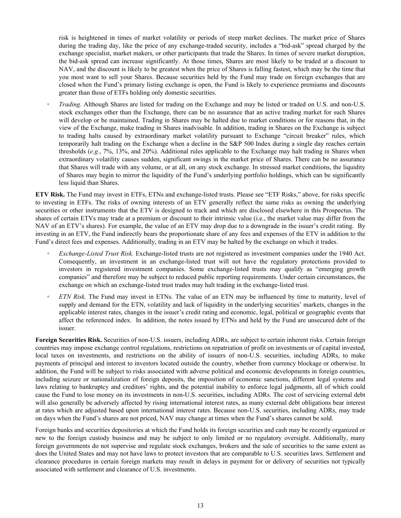risk is heightened in times of market volatility or periods of steep market declines. The market price of Shares during the trading day, like the price of any exchange-traded security, includes a "bid-ask" spread charged by the exchange specialist, market makers, or other participants that trade the Shares. In times of severe market disruption, the bid-ask spread can increase significantly. At those times, Shares are most likely to be traded at a discount to NAV, and the discount is likely to be greatest when the price of Shares is falling fastest, which may be the time that you most want to sell your Shares. Because securities held by the Fund may trade on foreign exchanges that are closed when the Fund's primary listing exchange is open, the Fund is likely to experience premiums and discounts greater than those of ETFs holding only domestic securities.

*Trading.* Although Shares are listed for trading on the Exchange and may be listed or traded on U.S. and non-U.S. stock exchanges other than the Exchange, there can be no assurance that an active trading market for such Shares will develop or be maintained. Trading in Shares may be halted due to market conditions or for reasons that, in the view of the Exchange, make trading in Shares inadvisable. In addition, trading in Shares on the Exchange is subject to trading halts caused by extraordinary market volatility pursuant to Exchange "circuit breaker" rules, which temporarily halt trading on the Exchange when a decline in the S&P 500 Index during a single day reaches certain thresholds (*e.g.*, 7%, 13%, and 20%). Additional rules applicable to the Exchange may halt trading in Shares when extraordinary volatility causes sudden, significant swings in the market price of Shares. There can be no assurance that Shares will trade with any volume, or at all, on any stock exchange. In stressed market conditions, the liquidity of Shares may begin to mirror the liquidity of the Fund's underlying portfolio holdings, which can be significantly less liquid than Shares.

**ETV Risk.** The Fund may invest in ETFs, ETNs and exchange-listed trusts. Please see "ETF Risks," above, for risks specific to investing in ETFs. The risks of owning interests of an ETV generally reflect the same risks as owning the underlying securities or other instruments that the ETV is designed to track and which are disclosed elsewhere in this Prospectus. The shares of certain ETVs may trade at a premium or discount to their intrinsic value (i.e., the market value may differ from the NAV of an ETV's shares). For example, the value of an ETV may drop due to a downgrade in the issuer's credit rating. By investing in an ETV, the Fund indirectly bears the proportionate share of any fees and expenses of the ETV in addition to the Fund's direct fees and expenses. Additionally, trading in an ETV may be halted by the exchange on which it trades.

- *Exchange-Listed Trust Risk.* Exchange-listed trusts are not registered as investment companies under the 1940 Act. Consequently, an investment in an exchange-listed trust will not have the regulatory protections provided to investors in registered investment companies. Some exchange-listed trusts may qualify as "emerging growth companies" and therefore may be subject to reduced public reporting requirements. Under certain circumstances, the exchange on which an exchange-listed trust trades may halt trading in the exchange-listed trust.
- *ETN Risk.* The Fund may invest in ETNs. The value of an ETN may be influenced by time to maturity, level of supply and demand for the ETN, volatility and lack of liquidity in the underlying securities' markets, changes in the applicable interest rates, changes in the issuer's credit rating and economic, legal, political or geographic events that affect the referenced index. In addition, the notes issued by ETNs and held by the Fund are unsecured debt of the issuer.

**Foreign Securities Risk.** Securities of non-U.S. issuers, including ADRs, are subject to certain inherent risks. Certain foreign countries may impose exchange control regulations, restrictions on repatriation of profit on investments or of capital invested, local taxes on investments, and restrictions on the ability of issuers of non-U.S. securities, including ADRs, to make payments of principal and interest to investors located outside the country, whether from currency blockage or otherwise. In addition, the Fund will be subject to risks associated with adverse political and economic developments in foreign countries, including seizure or nationalization of foreign deposits, the imposition of economic sanctions, different legal systems and laws relating to bankruptcy and creditors' rights, and the potential inability to enforce legal judgments, all of which could cause the Fund to lose money on its investments in non-U.S. securities, including ADRs. The cost of servicing external debt will also generally be adversely affected by rising international interest rates, as many external debt obligations bear interest at rates which are adjusted based upon international interest rates. Because non-U.S. securities, including ADRs, may trade on days when the Fund's shares are not priced, NAV may change at times when the Fund's shares cannot be sold.

Foreign banks and securities depositories at which the Fund holds its foreign securities and cash may be recently organized or new to the foreign custody business and may be subject to only limited or no regulatory oversight. Additionally, many foreign governments do not supervise and regulate stock exchanges, brokers and the sale of securities to the same extent as does the United States and may not have laws to protect investors that are comparable to U.S. securities laws. Settlement and clearance procedures in certain foreign markets may result in delays in payment for or delivery of securities not typically associated with settlement and clearance of U.S. investments.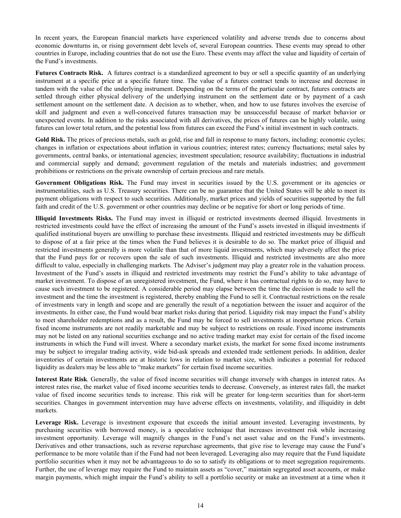In recent years, the European financial markets have experienced volatility and adverse trends due to concerns about economic downturns in, or rising government debt levels of, several European countries. These events may spread to other countries in Europe, including countries that do not use the Euro. These events may affect the value and liquidity of certain of the Fund's investments.

**Futures Contracts Risk.** A futures contract is a standardized agreement to buy or sell a specific quantity of an underlying instrument at a specific price at a specific future time. The value of a futures contract tends to increase and decrease in tandem with the value of the underlying instrument. Depending on the terms of the particular contract, futures contracts are settled through either physical delivery of the underlying instrument on the settlement date or by payment of a cash settlement amount on the settlement date. A decision as to whether, when, and how to use futures involves the exercise of skill and judgment and even a well-conceived futures transaction may be unsuccessful because of market behavior or unexpected events. In addition to the risks associated with all derivatives, the prices of futures can be highly volatile, using futures can lower total return, and the potential loss from futures can exceed the Fund's initial investment in such contracts.

Gold Risk. The prices of precious metals, such as gold, rise and fall in response to many factors, including: economic cycles; changes in inflation or expectations about inflation in various countries; interest rates; currency fluctuations; metal sales by governments, central banks, or international agencies; investment speculation; resource availability; fluctuations in industrial and commercial supply and demand; government regulation of the metals and materials industries; and government prohibitions or restrictions on the private ownership of certain precious and rare metals.

Government Obligations Risk. The Fund may invest in securities issued by the U.S. government or its agencies or instrumentalities, such as U.S. Treasury securities. There can be no guarantee that the United States will be able to meet its payment obligations with respect to such securities. Additionally, market prices and yields of securities supported by the full faith and credit of the U.S. government or other countries may decline or be negative for short or long periods of time.

**Illiquid Investments Risks.** The Fund may invest in illiquid or restricted investments deemed illiquid. Investments in restricted investments could have the effect of increasing the amount of the Fund's assets invested in illiquid investments if qualified institutional buyers are unwilling to purchase these investments. Illiquid and restricted investments may be difficult to dispose of at a fair price at the times when the Fund believes it is desirable to do so. The market price of illiquid and restricted investments generally is more volatile than that of more liquid investments, which may adversely affect the price that the Fund pays for or recovers upon the sale of such investments. Illiquid and restricted investments are also more difficult to value, especially in challenging markets. The Adviser's judgment may play a greater role in the valuation process. Investment of the Fund's assets in illiquid and restricted investments may restrict the Fund's ability to take advantage of market investment. To dispose of an unregistered investment, the Fund, where it has contractual rights to do so, may have to cause such investment to be registered. A considerable period may elapse between the time the decision is made to sell the investment and the time the investment is registered, thereby enabling the Fund to sell it. Contractual restrictions on the resale of investments vary in length and scope and are generally the result of a negotiation between the issuer and acquiror of the investments. In either case, the Fund would bear market risks during that period. Liquidity risk may impact the Fund's ability to meet shareholder redemptions and as a result, the Fund may be forced to sell investments at inopportune prices. Certain fixed income instruments are not readily marketable and may be subject to restrictions on resale. Fixed income instruments may not be listed on any national securities exchange and no active trading market may exist for certain of the fixed income instruments in which the Fund will invest. Where a secondary market exists, the market for some fixed income instruments may be subject to irregular trading activity, wide bid-ask spreads and extended trade settlement periods. In addition, dealer inventories of certain investments are at historic lows in relation to market size, which indicates a potential for reduced liquidity as dealers may be less able to "make markets" for certain fixed income securities.

**Interest Rate Risk***.* Generally, the value of fixed income securities will change inversely with changes in interest rates. As interest rates rise, the market value of fixed income securities tends to decrease. Conversely, as interest rates fall, the market value of fixed income securities tends to increase. This risk will be greater for long-term securities than for short-term securities. Changes in government intervention may have adverse effects on investments, volatility, and illiquidity in debt markets.

**Leverage Risk.** Leverage is investment exposure that exceeds the initial amount invested. Leveraging investments, by purchasing securities with borrowed money, is a speculative technique that increases investment risk while increasing investment opportunity. Leverage will magnify changes in the Fund's net asset value and on the Fund's investments. Derivatives and other transactions, such as reverse repurchase agreements, that give rise to leverage may cause the Fund's performance to be more volatile than if the Fund had not been leveraged. Leveraging also may require that the Fund liquidate portfolio securities when it may not be advantageous to do so to satisfy its obligations or to meet segregation requirements. Further, the use of leverage may require the Fund to maintain assets as "cover," maintain segregated asset accounts, or make margin payments, which might impair the Fund's ability to sell a portfolio security or make an investment at a time when it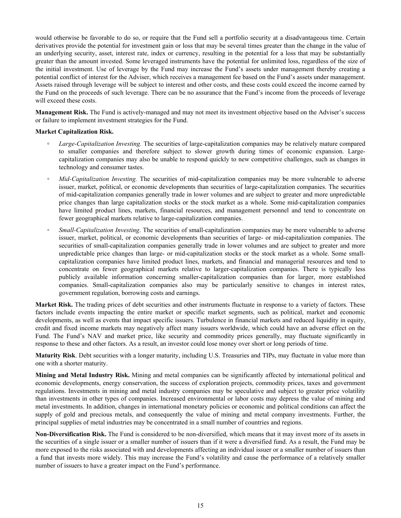would otherwise be favorable to do so, or require that the Fund sell a portfolio security at a disadvantageous time. Certain derivatives provide the potential for investment gain or loss that may be several times greater than the change in the value of an underlying security, asset, interest rate, index or currency, resulting in the potential for a loss that may be substantially greater than the amount invested. Some leveraged instruments have the potential for unlimited loss, regardless of the size of the initial investment. Use of leverage by the Fund may increase the Fund's assets under management thereby creating a potential conflict of interest for the Adviser, which receives a management fee based on the Fund's assets under management. Assets raised through leverage will be subject to interest and other costs, and these costs could exceed the income earned by the Fund on the proceeds of such leverage. There can be no assurance that the Fund's income from the proceeds of leverage will exceed these costs.

**Management Risk.** The Fund is actively-managed and may not meet its investment objective based on the Adviser's success or failure to implement investment strategies for the Fund.

#### **Market Capitalization Risk.**

- **◦** *Large-Capitalization Investing.* The securities of large-capitalization companies may be relatively mature compared to smaller companies and therefore subject to slower growth during times of economic expansion. Largecapitalization companies may also be unable to respond quickly to new competitive challenges, such as changes in technology and consumer tastes.
- *Mid-Capitalization Investing.* The securities of mid-capitalization companies may be more vulnerable to adverse issuer, market, political, or economic developments than securities of large-capitalization companies. The securities of mid-capitalization companies generally trade in lower volumes and are subject to greater and more unpredictable price changes than large capitalization stocks or the stock market as a whole. Some mid-capitalization companies have limited product lines, markets, financial resources, and management personnel and tend to concentrate on fewer geographical markets relative to large-capitalization companies.
- *Small-Capitalization Investing*. The securities of small-capitalization companies may be more vulnerable to adverse issuer, market, political, or economic developments than securities of large- or mid-capitalization companies. The securities of small-capitalization companies generally trade in lower volumes and are subject to greater and more unpredictable price changes than large- or mid-capitalization stocks or the stock market as a whole. Some smallcapitalization companies have limited product lines, markets, and financial and managerial resources and tend to concentrate on fewer geographical markets relative to larger-capitalization companies. There is typically less publicly available information concerning smaller-capitalization companies than for larger, more established companies. Small-capitalization companies also may be particularly sensitive to changes in interest rates, government regulation, borrowing costs and earnings.

**Market Risk.** The trading prices of debt securities and other instruments fluctuate in response to a variety of factors. These factors include events impacting the entire market or specific market segments, such as political, market and economic developments, as well as events that impact specific issuers. Turbulence in financial markets and reduced liquidity in equity, credit and fixed income markets may negatively affect many issuers worldwide, which could have an adverse effect on the Fund. The Fund's NAV and market price, like security and commodity prices generally, may fluctuate significantly in response to these and other factors. As a result, an investor could lose money over short or long periods of time.

**Maturity Risk**. Debt securities with a longer maturity, including U.S. Treasuries and TIPs, may fluctuate in value more than one with a shorter maturity.

**Mining and Metal Industry Risk.** Mining and metal companies can be significantly affected by international political and economic developments, energy conservation, the success of exploration projects, commodity prices, taxes and government regulations. Investments in mining and metal industry companies may be speculative and subject to greater price volatility than investments in other types of companies. Increased environmental or labor costs may depress the value of mining and metal investments. In addition, changes in international monetary policies or economic and political conditions can affect the supply of gold and precious metals, and consequently the value of mining and metal company investments. Further, the principal supplies of metal industries may be concentrated in a small number of countries and regions.

**Non-Diversification Risk.** The Fund is considered to be non-diversified, which means that it may invest more of its assets in the securities of a single issuer or a smaller number of issuers than if it were a diversified fund. As a result, the Fund may be more exposed to the risks associated with and developments affecting an individual issuer or a smaller number of issuers than a fund that invests more widely. This may increase the Fund's volatility and cause the performance of a relatively smaller number of issuers to have a greater impact on the Fund's performance.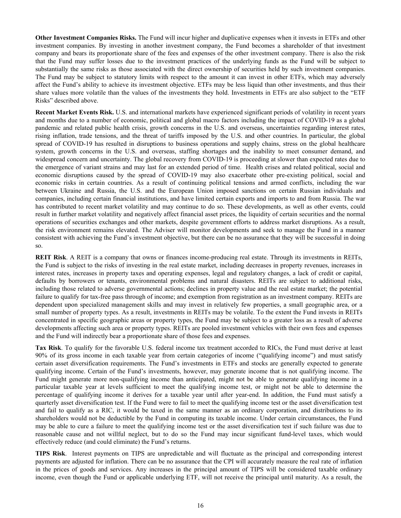**Other Investment Companies Risks.** The Fund will incur higher and duplicative expenses when it invests in ETFs and other investment companies. By investing in another investment company, the Fund becomes a shareholder of that investment company and bears its proportionate share of the fees and expenses of the other investment company. There is also the risk that the Fund may suffer losses due to the investment practices of the underlying funds as the Fund will be subject to substantially the same risks as those associated with the direct ownership of securities held by such investment companies. The Fund may be subject to statutory limits with respect to the amount it can invest in other ETFs, which may adversely affect the Fund's ability to achieve its investment objective. ETFs may be less liquid than other investments, and thus their share values more volatile than the values of the investments they hold. Investments in ETFs are also subject to the "ETF Risks" described above.

**Recent Market Events Risk.** U.S. and international markets have experienced significant periods of volatility in recent years and months due to a number of economic, political and global macro factors including the impact of COVID-19 as a global pandemic and related public health crisis, growth concerns in the U.S. and overseas, uncertainties regarding interest rates, rising inflation, trade tensions, and the threat of tariffs imposed by the U.S. and other countries. In particular, the global spread of COVID-19 has resulted in disruptions to business operations and supply chains, stress on the global healthcare system, growth concerns in the U.S. and overseas, staffing shortages and the inability to meet consumer demand, and widespread concern and uncertainty. The global recovery from COVID-19 is proceeding at slower than expected rates due to the emergence of variant strains and may last for an extended period of time. Health crises and related political, social and economic disruptions caused by the spread of COVID-19 may also exacerbate other pre-existing political, social and economic risks in certain countries. As a result of continuing political tensions and armed conflicts, including the war between Ukraine and Russia, the U.S. and the European Union imposed sanctions on certain Russian individuals and companies, including certain financial institutions, and have limited certain exports and imports to and from Russia. The war has contributed to recent market volatility and may continue to do so. These developments, as well as other events, could result in further market volatility and negatively affect financial asset prices, the liquidity of certain securities and the normal operations of securities exchanges and other markets, despite government efforts to address market disruptions. As a result, the risk environment remains elevated. The Adviser will monitor developments and seek to manage the Fund in a manner consistent with achieving the Fund's investment objective, but there can be no assurance that they will be successful in doing so.

**REIT Risk**. A REIT is a company that owns or finances income-producing real estate. Through its investments in REITs, the Fund is subject to the risks of investing in the real estate market, including decreases in property revenues, increases in interest rates, increases in property taxes and operating expenses, legal and regulatory changes, a lack of credit or capital, defaults by borrowers or tenants, environmental problems and natural disasters. REITs are subject to additional risks, including those related to adverse governmental actions; declines in property value and the real estate market; the potential failure to qualify for tax-free pass through of income; and exemption from registration as an investment company. REITs are dependent upon specialized management skills and may invest in relatively few properties, a small geographic area, or a small number of property types. As a result, investments in REITs may be volatile. To the extent the Fund invests in REITs concentrated in specific geographic areas or property types, the Fund may be subject to a greater loss as a result of adverse developments affecting such area or property types. REITs are pooled investment vehicles with their own fees and expenses and the Fund will indirectly bear a proportionate share of those fees and expenses.

**Tax Risk**. To qualify for the favorable U.S. federal income tax treatment accorded to RICs, the Fund must derive at least 90% of its gross income in each taxable year from certain categories of income ("qualifying income") and must satisfy certain asset diversification requirements. The Fund's investments in ETFs and stocks are generally expected to generate qualifying income. Certain of the Fund's investments, however, may generate income that is not qualifying income. The Fund might generate more non-qualifying income than anticipated, might not be able to generate qualifying income in a particular taxable year at levels sufficient to meet the qualifying income test, or might not be able to determine the percentage of qualifying income it derives for a taxable year until after year-end. In addition, the Fund must satisfy a quarterly asset diversification test. If the Fund were to fail to meet the qualifying income test or the asset diversification test and fail to qualify as a RIC, it would be taxed in the same manner as an ordinary corporation, and distributions to its shareholders would not be deductible by the Fund in computing its taxable income. Under certain circumstances, the Fund may be able to cure a failure to meet the qualifying income test or the asset diversification test if such failure was due to reasonable cause and not willful neglect, but to do so the Fund may incur significant fund-level taxes, which would effectively reduce (and could eliminate) the Fund's returns.

**TIPS Risk**. Interest payments on TIPS are unpredictable and will fluctuate as the principal and corresponding interest payments are adjusted for inflation. There can be no assurance that the CPI will accurately measure the real rate of inflation in the prices of goods and services. Any increases in the principal amount of TIPS will be considered taxable ordinary income, even though the Fund or applicable underlying ETF, will not receive the principal until maturity. As a result, the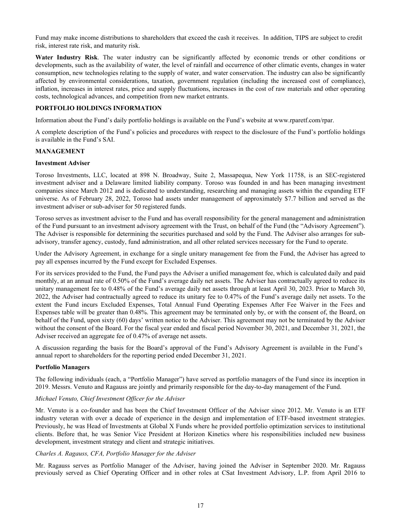<span id="page-19-0"></span>Fund may make income distributions to shareholders that exceed the cash it receives. In addition, TIPS are subject to credit risk, interest rate risk, and maturity risk.

**Water Industry Risk**. The water industry can be significantly affected by economic trends or other conditions or developments, such as the availability of water, the level of rainfall and occurrence of other climatic events, changes in water consumption, new technologies relating to the supply of water, and water conservation. The industry can also be significantly affected by environmental considerations, taxation, government regulation (including the increased cost of compliance), inflation, increases in interest rates, price and supply fluctuations, increases in the cost of raw materials and other operating costs, technological advances, and competition from new market entrants.

## **PORTFOLIO HOLDINGS INFORMATION**

Information about the Fund's daily portfolio holdings is available on the Fund's website at www.rparetf.com/rpar.

A complete description of the Fund's policies and procedures with respect to the disclosure of the Fund's portfolio holdings is available in the Fund's SAI.

## **MANAGEMENT**

#### **Investment Adviser**

Toroso Investments, LLC, located at 898 N. Broadway, Suite 2, Massapequa, New York 11758, is an SEC-registered investment adviser and a Delaware limited liability company. Toroso was founded in and has been managing investment companies since March 2012 and is dedicated to understanding, researching and managing assets within the expanding ETF universe. As of February 28, 2022, Toroso had assets under management of approximately \$7.7 billion and served as the investment adviser or sub-adviser for 50 registered funds.

Toroso serves as investment adviser to the Fund and has overall responsibility for the general management and administration of the Fund pursuant to an investment advisory agreement with the Trust, on behalf of the Fund (the "Advisory Agreement"). The Adviser is responsible for determining the securities purchased and sold by the Fund. The Adviser also arranges for subadvisory, transfer agency, custody, fund administration, and all other related services necessary for the Fund to operate.

Under the Advisory Agreement, in exchange for a single unitary management fee from the Fund, the Adviser has agreed to pay all expenses incurred by the Fund except for Excluded Expenses.

For its services provided to the Fund, the Fund pays the Adviser a unified management fee, which is calculated daily and paid monthly, at an annual rate of 0.50% of the Fund's average daily net assets. The Adviser has contractually agreed to reduce its unitary management fee to 0.48% of the Fund's average daily net assets through at least April 30, 2023. Prior to March 30, 2022, the Adviser had contractually agreed to reduce its unitary fee to 0.47% of the Fund's average daily net assets. To the extent the Fund incurs Excluded Expenses, Total Annual Fund Operating Expenses After Fee Waiver in the Fees and Expenses table will be greater than 0.48%. This agreement may be terminated only by, or with the consent of, the Board, on behalf of the Fund, upon sixty (60) days' written notice to the Adviser. This agreement may not be terminated by the Adviser without the consent of the Board. For the fiscal year ended and fiscal period November 30, 2021, and December 31, 2021, the Adviser received an aggregate fee of 0.47% of average net assets.

A discussion regarding the basis for the Board's approval of the Fund's Advisory Agreement is available in the Fund's annual report to shareholders for the reporting period ended December 31, 2021.

#### **Portfolio Managers**

The following individuals (each, a "Portfolio Manager") have served as portfolio managers of the Fund since its inception in 2019. Messrs. Venuto and Ragauss are jointly and primarily responsible for the day-to-day management of the Fund.

#### *Michael Venuto, Chief Investment Officer for the Adviser*

Mr. Venuto is a co-founder and has been the Chief Investment Officer of the Adviser since 2012. Mr. Venuto is an ETF industry veteran with over a decade of experience in the design and implementation of ETF-based investment strategies. Previously, he was Head of Investments at Global X Funds where he provided portfolio optimization services to institutional clients. Before that, he was Senior Vice President at Horizon Kinetics where his responsibilities included new business development, investment strategy and client and strategic initiatives.

#### *Charles A. Ragauss, CFA, Portfolio Manager for the Adviser*

Mr. Ragauss serves as Portfolio Manager of the Adviser, having joined the Adviser in September 2020. Mr. Ragauss previously served as Chief Operating Officer and in other roles at CSat Investment Advisory, L.P. from April 2016 to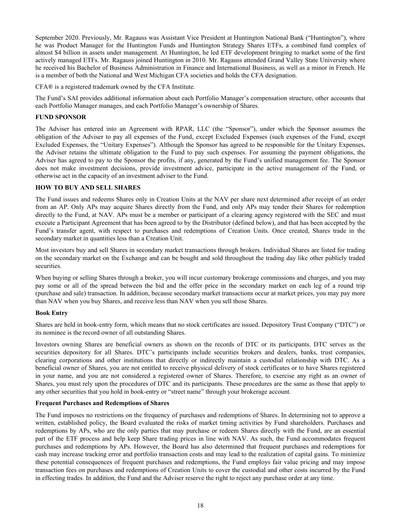<span id="page-20-0"></span>September 2020. Previously, Mr. Ragauss was Assistant Vice President at Huntington National Bank ("Huntington"), where he was Product Manager for the Huntington Funds and Huntington Strategy Shares ETFs, a combined fund complex of almost \$4 billion in assets under management. At Huntington, he led ETF development bringing to market some of the first actively managed ETFs. Mr. Ragauss joined Huntington in 2010. Mr. Ragauss attended Grand Valley State University where he received his Bachelor of Business Administration in Finance and International Business, as well as a minor in French. He is a member of both the National and West Michigan CFA societies and holds the CFA designation.

CFA® is a registered trademark owned by the CFA Institute.

The Fund's SAI provides additional information about each Portfolio Manager's compensation structure, other accounts that each Portfolio Manager manages, and each Portfolio Manager's ownership of Shares.

#### **FUND SPONSOR**

The Adviser has entered into an Agreement with RPAR, LLC (the "Sponsor"), under which the Sponsor assumes the obligation of the Adviser to pay all expenses of the Fund, except Excluded Expenses (such expenses of the Fund, except Excluded Expenses, the "Unitary Expenses"). Although the Sponsor has agreed to be responsible for the Unitary Expenses, the Adviser retains the ultimate obligation to the Fund to pay such expenses. For assuming the payment obligations, the Adviser has agreed to pay to the Sponsor the profits, if any, generated by the Fund's unified management fee. The Sponsor does not make investment decisions, provide investment advice, participate in the active management of the Fund, or otherwise act in the capacity of an investment adviser to the Fund.

#### **HOW TO BUY AND SELL SHARES**

The Fund issues and redeems Shares only in Creation Units at the NAV per share next determined after receipt of an order from an AP. Only APs may acquire Shares directly from the Fund, and only APs may tender their Shares for redemption directly to the Fund, at NAV. APs must be a member or participant of a clearing agency registered with the SEC and must execute a Participant Agreement that has been agreed to by the Distributor (defined below), and that has been accepted by the Fund's transfer agent, with respect to purchases and redemptions of Creation Units. Once created, Shares trade in the secondary market in quantities less than a Creation Unit.

Most investors buy and sell Shares in secondary market transactions through brokers. Individual Shares are listed for trading on the secondary market on the Exchange and can be bought and sold throughout the trading day like other publicly traded securities.

When buying or selling Shares through a broker, you will incur customary brokerage commissions and charges, and you may pay some or all of the spread between the bid and the offer price in the secondary market on each leg of a round trip (purchase and sale) transaction. In addition, because secondary market transactions occur at market prices, you may pay more than NAV when you buy Shares, and receive less than NAV when you sell those Shares.

#### **Book Entry**

Shares are held in book-entry form, which means that no stock certificates are issued. Depository Trust Company ("DTC") or its nominee is the record owner of all outstanding Shares.

Investors owning Shares are beneficial owners as shown on the records of DTC or its participants. DTC serves as the securities depository for all Shares. DTC's participants include securities brokers and dealers, banks, trust companies, clearing corporations and other institutions that directly or indirectly maintain a custodial relationship with DTC. As a beneficial owner of Shares, you are not entitled to receive physical delivery of stock certificates or to have Shares registered in your name, and you are not considered a registered owner of Shares. Therefore, to exercise any right as an owner of Shares, you must rely upon the procedures of DTC and its participants. These procedures are the same as those that apply to any other securities that you hold in book-entry or "street name" through your brokerage account.

## **Frequent Purchases and Redemptions of Shares**

The Fund imposes no restrictions on the frequency of purchases and redemptions of Shares. In determining not to approve a written, established policy, the Board evaluated the risks of market timing activities by Fund shareholders. Purchases and redemptions by APs, who are the only parties that may purchase or redeem Shares directly with the Fund, are an essential part of the ETF process and help keep Share trading prices in line with NAV. As such, the Fund accommodates frequent purchases and redemptions by APs. However, the Board has also determined that frequent purchases and redemptions for cash may increase tracking error and portfolio transaction costs and may lead to the realization of capital gains. To minimize these potential consequences of frequent purchases and redemptions, the Fund employs fair value pricing and may impose transaction fees on purchases and redemptions of Creation Units to cover the custodial and other costs incurred by the Fund in effecting trades. In addition, the Fund and the Adviser reserve the right to reject any purchase order at any time.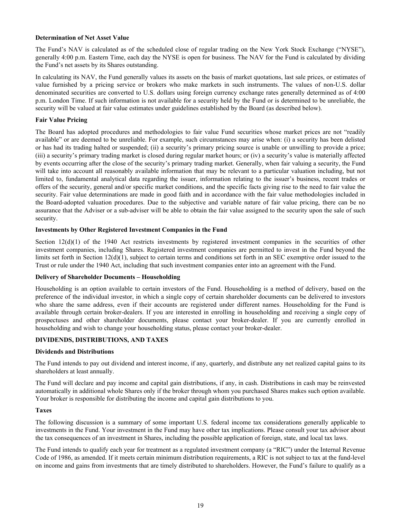## <span id="page-21-0"></span>**Determination of Net Asset Value**

The Fund's NAV is calculated as of the scheduled close of regular trading on the New York Stock Exchange ("NYSE"), generally 4:00 p.m. Eastern Time, each day the NYSE is open for business. The NAV for the Fund is calculated by dividing the Fund's net assets by its Shares outstanding.

In calculating its NAV, the Fund generally values its assets on the basis of market quotations, last sale prices, or estimates of value furnished by a pricing service or brokers who make markets in such instruments. The values of non-U.S. dollar denominated securities are converted to U.S. dollars using foreign currency exchange rates generally determined as of 4:00 p.m. London Time. If such information is not available for a security held by the Fund or is determined to be unreliable, the security will be valued at fair value estimates under guidelines established by the Board (as described below).

#### **Fair Value Pricing**

The Board has adopted procedures and methodologies to fair value Fund securities whose market prices are not "readily available" or are deemed to be unreliable. For example, such circumstances may arise when: (i) a security has been delisted or has had its trading halted or suspended; (ii) a security's primary pricing source is unable or unwilling to provide a price; (iii) a security's primary trading market is closed during regular market hours; or (iv) a security's value is materially affected by events occurring after the close of the security's primary trading market. Generally, when fair valuing a security, the Fund will take into account all reasonably available information that may be relevant to a particular valuation including, but not limited to, fundamental analytical data regarding the issuer, information relating to the issuer's business, recent trades or offers of the security, general and/or specific market conditions, and the specific facts giving rise to the need to fair value the security. Fair value determinations are made in good faith and in accordance with the fair value methodologies included in the Board-adopted valuation procedures. Due to the subjective and variable nature of fair value pricing, there can be no assurance that the Adviser or a sub-adviser will be able to obtain the fair value assigned to the security upon the sale of such security.

## **Investments by Other Registered Investment Companies in the Fund**

Section  $12(d)(1)$  of the 1940 Act restricts investments by registered investment companies in the securities of other investment companies, including Shares. Registered investment companies are permitted to invest in the Fund beyond the limits set forth in Section  $12(d)(1)$ , subject to certain terms and conditions set forth in an SEC exemptive order issued to the Trust or rule under the 1940 Act, including that such investment companies enter into an agreement with the Fund.

## **Delivery of Shareholder Documents – Householding**

Householding is an option available to certain investors of the Fund. Householding is a method of delivery, based on the preference of the individual investor, in which a single copy of certain shareholder documents can be delivered to investors who share the same address, even if their accounts are registered under different names. Householding for the Fund is available through certain broker-dealers. If you are interested in enrolling in householding and receiving a single copy of prospectuses and other shareholder documents, please contact your broker-dealer. If you are currently enrolled in householding and wish to change your householding status, please contact your broker-dealer.

## **DIVIDENDS, DISTRIBUTIONS, AND TAXES**

#### **Dividends and Distributions**

The Fund intends to pay out dividend and interest income, if any, quarterly, and distribute any net realized capital gains to its shareholders at least annually.

The Fund will declare and pay income and capital gain distributions, if any, in cash. Distributions in cash may be reinvested automatically in additional whole Shares only if the broker through whom you purchased Shares makes such option available. Your broker is responsible for distributing the income and capital gain distributions to you.

#### **Taxes**

The following discussion is a summary of some important U.S. federal income tax considerations generally applicable to investments in the Fund. Your investment in the Fund may have other tax implications. Please consult your tax advisor about the tax consequences of an investment in Shares, including the possible application of foreign, state, and local tax laws.

The Fund intends to qualify each year for treatment as a regulated investment company (a "RIC") under the Internal Revenue Code of 1986, as amended. If it meets certain minimum distribution requirements, a RIC is not subject to tax at the fund-level on income and gains from investments that are timely distributed to shareholders. However, the Fund's failure to qualify as a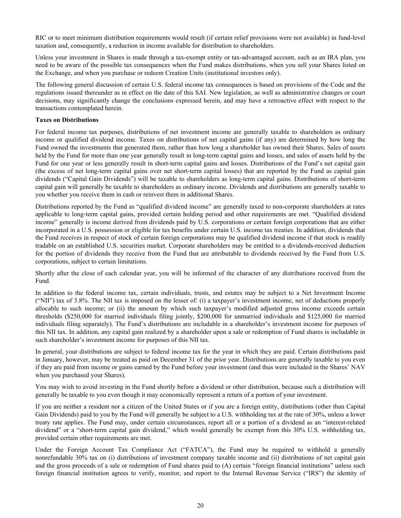RIC or to meet minimum distribution requirements would result (if certain relief provisions were not available) in fund-level taxation and, consequently, a reduction in income available for distribution to shareholders.

Unless your investment in Shares is made through a tax-exempt entity or tax-advantaged account, such as an IRA plan, you need to be aware of the possible tax consequences when the Fund makes distributions, when you sell your Shares listed on the Exchange, and when you purchase or redeem Creation Units (institutional investors only).

The following general discussion of certain U.S. federal income tax consequences is based on provisions of the Code and the regulations issued thereunder as in effect on the date of this SAI. New legislation, as well as administrative changes or court decisions, may significantly change the conclusions expressed herein, and may have a retroactive effect with respect to the transactions contemplated herein.

#### **Taxes on Distributions**

For federal income tax purposes, distributions of net investment income are generally taxable to shareholders as ordinary income or qualified dividend income. Taxes on distributions of net capital gains (if any) are determined by how long the Fund owned the investments that generated them, rather than how long a shareholder has owned their Shares. Sales of assets held by the Fund for more than one year generally result in long-term capital gains and losses, and sales of assets held by the Fund for one year or less generally result in short-term capital gains and losses. Distributions of the Fund's net capital gain (the excess of net long-term capital gains over net short-term capital losses) that are reported by the Fund as capital gain dividends ("Capital Gain Dividends") will be taxable to shareholders as long-term capital gains. Distributions of short-term capital gain will generally be taxable to shareholders as ordinary income. Dividends and distributions are generally taxable to you whether you receive them in cash or reinvest them in additional Shares.

Distributions reported by the Fund as "qualified dividend income" are generally taxed to non-corporate shareholders at rates applicable to long-term capital gains, provided certain holding period and other requirements are met. "Qualified dividend income" generally is income derived from dividends paid by U.S. corporations or certain foreign corporations that are either incorporated in a U.S. possession or eligible for tax benefits under certain U.S. income tax treaties. In addition, dividends that the Fund receives in respect of stock of certain foreign corporations may be qualified dividend income if that stock is readily tradable on an established U.S. securities market. Corporate shareholders may be entitled to a dividends-received deduction for the portion of dividends they receive from the Fund that are attributable to dividends received by the Fund from U.S. corporations, subject to certain limitations.

Shortly after the close of each calendar year, you will be informed of the character of any distributions received from the Fund.

In addition to the federal income tax, certain individuals, trusts, and estates may be subject to a Net Investment Income ("NII") tax of 3.8%. The NII tax is imposed on the lesser of: (i) a taxpayer's investment income, net of deductions properly allocable to such income; or (ii) the amount by which such taxpayer's modified adjusted gross income exceeds certain thresholds (\$250,000 for married individuals filing jointly, \$200,000 for unmarried individuals and \$125,000 for married individuals filing separately). The Fund's distributions are includable in a shareholder's investment income for purposes of this NII tax. In addition, any capital gain realized by a shareholder upon a sale or redemption of Fund shares is includable in such shareholder's investment income for purposes of this NII tax.

In general, your distributions are subject to federal income tax for the year in which they are paid. Certain distributions paid in January, however, may be treated as paid on December 31 of the prior year. Distributions are generally taxable to you even if they are paid from income or gains earned by the Fund before your investment (and thus were included in the Shares' NAV when you purchased your Shares).

You may wish to avoid investing in the Fund shortly before a dividend or other distribution, because such a distribution will generally be taxable to you even though it may economically represent a return of a portion of your investment.

If you are neither a resident nor a citizen of the United States or if you are a foreign entity, distributions (other than Capital Gain Dividends) paid to you by the Fund will generally be subject to a U.S. withholding tax at the rate of 30%, unless a lower treaty rate applies. The Fund may, under certain circumstances, report all or a portion of a dividend as an "interest-related dividend" or a "short-term capital gain dividend," which would generally be exempt from this 30% U.S. withholding tax, provided certain other requirements are met.

Under the Foreign Account Tax Compliance Act ("FATCA"), the Fund may be required to withhold a generally nonrefundable 30% tax on (i) distributions of investment company taxable income and (ii) distributions of net capital gain and the gross proceeds of a sale or redemption of Fund shares paid to (A) certain "foreign financial institutions" unless such foreign financial institution agrees to verify, monitor, and report to the Internal Revenue Service ("IRS") the identity of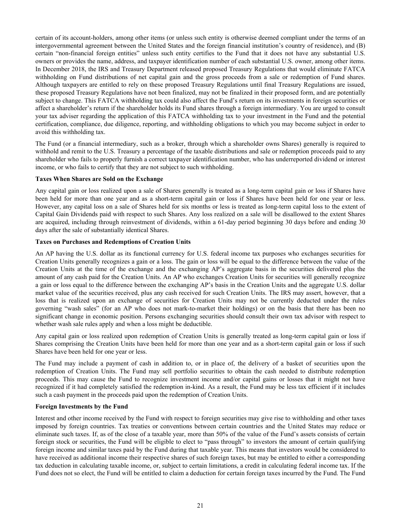certain of its account-holders, among other items (or unless such entity is otherwise deemed compliant under the terms of an intergovernmental agreement between the United States and the foreign financial institution's country of residence), and (B) certain "non-financial foreign entities" unless such entity certifies to the Fund that it does not have any substantial U.S. owners or provides the name, address, and taxpayer identification number of each substantial U.S. owner, among other items. In December 2018, the IRS and Treasury Department released proposed Treasury Regulations that would eliminate FATCA withholding on Fund distributions of net capital gain and the gross proceeds from a sale or redemption of Fund shares. Although taxpayers are entitled to rely on these proposed Treasury Regulations until final Treasury Regulations are issued, these proposed Treasury Regulations have not been finalized, may not be finalized in their proposed form, and are potentially subject to change. This FATCA withholding tax could also affect the Fund's return on its investments in foreign securities or affect a shareholder's return if the shareholder holds its Fund shares through a foreign intermediary. You are urged to consult your tax adviser regarding the application of this FATCA withholding tax to your investment in the Fund and the potential certification, compliance, due diligence, reporting, and withholding obligations to which you may become subject in order to avoid this withholding tax.

The Fund (or a financial intermediary, such as a broker, through which a shareholder owns Shares) generally is required to withhold and remit to the U.S. Treasury a percentage of the taxable distributions and sale or redemption proceeds paid to any shareholder who fails to properly furnish a correct taxpayer identification number, who has underreported dividend or interest income, or who fails to certify that they are not subject to such withholding.

## **Taxes When Shares are Sold on the Exchange**

Any capital gain or loss realized upon a sale of Shares generally is treated as a long-term capital gain or loss if Shares have been held for more than one year and as a short-term capital gain or loss if Shares have been held for one year or less. However, any capital loss on a sale of Shares held for six months or less is treated as long-term capital loss to the extent of Capital Gain Dividends paid with respect to such Shares. Any loss realized on a sale will be disallowed to the extent Shares are acquired, including through reinvestment of dividends, within a 61-day period beginning 30 days before and ending 30 days after the sale of substantially identical Shares.

#### **Taxes on Purchases and Redemptions of Creation Units**

An AP having the U.S. dollar as its functional currency for U.S. federal income tax purposes who exchanges securities for Creation Units generally recognizes a gain or a loss. The gain or loss will be equal to the difference between the value of the Creation Units at the time of the exchange and the exchanging AP's aggregate basis in the securities delivered plus the amount of any cash paid for the Creation Units. An AP who exchanges Creation Units for securities will generally recognize a gain or loss equal to the difference between the exchanging AP's basis in the Creation Units and the aggregate U.S. dollar market value of the securities received, plus any cash received for such Creation Units. The IRS may assert, however, that a loss that is realized upon an exchange of securities for Creation Units may not be currently deducted under the rules governing "wash sales" (for an AP who does not mark-to-market their holdings) or on the basis that there has been no significant change in economic position. Persons exchanging securities should consult their own tax advisor with respect to whether wash sale rules apply and when a loss might be deductible.

Any capital gain or loss realized upon redemption of Creation Units is generally treated as long-term capital gain or loss if Shares comprising the Creation Units have been held for more than one year and as a short-term capital gain or loss if such Shares have been held for one year or less.

The Fund may include a payment of cash in addition to, or in place of, the delivery of a basket of securities upon the redemption of Creation Units. The Fund may sell portfolio securities to obtain the cash needed to distribute redemption proceeds. This may cause the Fund to recognize investment income and/or capital gains or losses that it might not have recognized if it had completely satisfied the redemption in-kind. As a result, the Fund may be less tax efficient if it includes such a cash payment in the proceeds paid upon the redemption of Creation Units.

## **Foreign Investments by the Fund**

Interest and other income received by the Fund with respect to foreign securities may give rise to withholding and other taxes imposed by foreign countries. Tax treaties or conventions between certain countries and the United States may reduce or eliminate such taxes. If, as of the close of a taxable year, more than 50% of the value of the Fund's assets consists of certain foreign stock or securities, the Fund will be eligible to elect to "pass through" to investors the amount of certain qualifying foreign income and similar taxes paid by the Fund during that taxable year. This means that investors would be considered to have received as additional income their respective shares of such foreign taxes, but may be entitled to either a corresponding tax deduction in calculating taxable income, or, subject to certain limitations, a credit in calculating federal income tax. If the Fund does not so elect, the Fund will be entitled to claim a deduction for certain foreign taxes incurred by the Fund. The Fund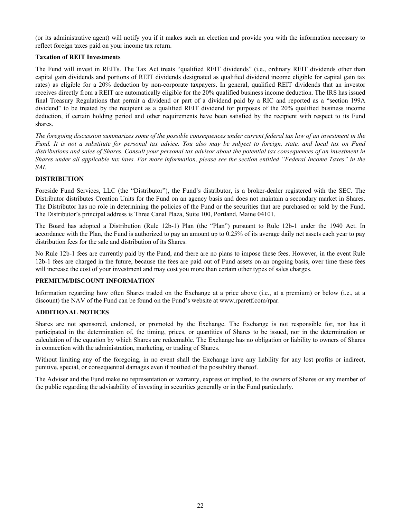<span id="page-24-0"></span>(or its administrative agent) will notify you if it makes such an election and provide you with the information necessary to reflect foreign taxes paid on your income tax return.

## **Taxation of REIT Investments**

The Fund will invest in REITs. The Tax Act treats "qualified REIT dividends" (i.e., ordinary REIT dividends other than capital gain dividends and portions of REIT dividends designated as qualified dividend income eligible for capital gain tax rates) as eligible for a 20% deduction by non-corporate taxpayers. In general, qualified REIT dividends that an investor receives directly from a REIT are automatically eligible for the 20% qualified business income deduction. The IRS has issued final Treasury Regulations that permit a dividend or part of a dividend paid by a RIC and reported as a "section 199A dividend" to be treated by the recipient as a qualified REIT dividend for purposes of the 20% qualified business income deduction, if certain holding period and other requirements have been satisfied by the recipient with respect to its Fund shares.

*The foregoing discussion summarizes some of the possible consequences under current federal tax law of an investment in the Fund. It is not a substitute for personal tax advice. You also may be subject to foreign, state, and local tax on Fund distributions and sales of Shares. Consult your personal tax advisor about the potential tax consequences of an investment in Shares under all applicable tax laws. For more information, please see the section entitled "Federal Income Taxes" in the SAI.*

## **DISTRIBUTION**

Foreside Fund Services, LLC (the "Distributor"), the Fund's distributor, is a broker-dealer registered with the SEC. The Distributor distributes Creation Units for the Fund on an agency basis and does not maintain a secondary market in Shares. The Distributor has no role in determining the policies of the Fund or the securities that are purchased or sold by the Fund. The Distributor's principal address is Three Canal Plaza, Suite 100, Portland, Maine 04101.

The Board has adopted a Distribution (Rule 12b-1) Plan (the "Plan") pursuant to Rule 12b-1 under the 1940 Act. In accordance with the Plan, the Fund is authorized to pay an amount up to 0.25% of its average daily net assets each year to pay distribution fees for the sale and distribution of its Shares.

No Rule 12b-1 fees are currently paid by the Fund, and there are no plans to impose these fees. However, in the event Rule 12b-1 fees are charged in the future, because the fees are paid out of Fund assets on an ongoing basis, over time these fees will increase the cost of your investment and may cost you more than certain other types of sales charges.

## **PREMIUM/DISCOUNT INFORMATION**

Information regarding how often Shares traded on the Exchange at a price above (i.e., at a premium) or below (i.e., at a discount) the NAV of the Fund can be found on the Fund's website at www.rparetf.com/rpar.

## **ADDITIONAL NOTICES**

Shares are not sponsored, endorsed, or promoted by the Exchange. The Exchange is not responsible for, nor has it participated in the determination of, the timing, prices, or quantities of Shares to be issued, nor in the determination or calculation of the equation by which Shares are redeemable. The Exchange has no obligation or liability to owners of Shares in connection with the administration, marketing, or trading of Shares.

Without limiting any of the foregoing, in no event shall the Exchange have any liability for any lost profits or indirect, punitive, special, or consequential damages even if notified of the possibility thereof.

The Adviser and the Fund make no representation or warranty, express or implied, to the owners of Shares or any member of the public regarding the advisability of investing in securities generally or in the Fund particularly.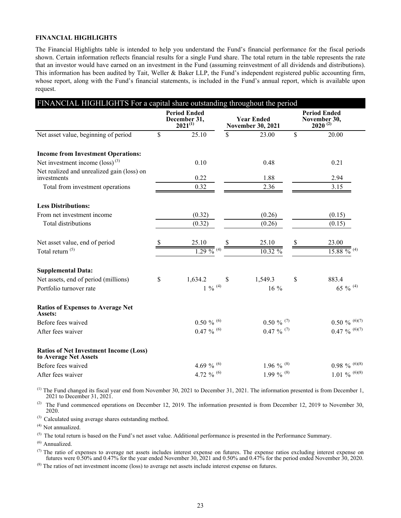#### <span id="page-25-0"></span>**FINANCIAL HIGHLIGHTS**

The Financial Highlights table is intended to help you understand the Fund's financial performance for the fiscal periods shown. Certain information reflects financial results for a single Fund share. The total return in the table represents the rate that an investor would have earned on an investment in the Fund (assuming reinvestment of all dividends and distributions). This information has been audited by Tait, Weller & Baker LLP, the Fund's independent registered public accounting firm, whose report, along with the Fund's financial statements, is included in the Fund's annual report, which is available upon request.

| FINANCIAL HIGHLIGHTS For a capital share outstanding throughout the period |     |                                                     |    |                                               |    |                                                     |
|----------------------------------------------------------------------------|-----|-----------------------------------------------------|----|-----------------------------------------------|----|-----------------------------------------------------|
|                                                                            |     | <b>Period Ended</b><br>December 31,<br>$2021^{(1)}$ |    | <b>Year Ended</b><br><b>November 30, 2021</b> |    | <b>Period Ended</b><br>November 30,<br>$2020^{(2)}$ |
| Net asset value, beginning of period                                       | \$  | 25.10                                               | \$ | 23.00                                         | \$ | 20.00                                               |
| <b>Income from Investment Operations:</b>                                  |     |                                                     |    |                                               |    |                                                     |
| Net investment income $(\text{loss})^{(3)}$                                |     | 0.10                                                |    | 0.48                                          |    | 0.21                                                |
| Net realized and unrealized gain (loss) on<br>investments                  |     | 0.22                                                |    | 1.88                                          |    | 2.94                                                |
| Total from investment operations                                           |     | 0.32                                                |    | 2.36                                          |    | 3.15                                                |
| <b>Less Distributions:</b>                                                 |     |                                                     |    |                                               |    |                                                     |
| From net investment income                                                 |     | (0.32)                                              |    | (0.26)                                        |    | (0.15)                                              |
| Total distributions                                                        |     | (0.32)                                              |    | (0.26)                                        |    | (0.15)                                              |
| Net asset value, end of period                                             | \$. | 25.10                                               |    | 25.10                                         | S  | 23.00                                               |
| Total return <sup>(5)</sup>                                                |     | $\frac{1}{1.29}$ % (4)                              |    | 10.32 %                                       |    | 15.88 %                                             |
| <b>Supplemental Data:</b>                                                  |     |                                                     |    |                                               |    |                                                     |
| Net assets, end of period (millions)                                       | \$  | 1,634.2                                             | \$ | 1,549.3                                       | \$ | 883.4                                               |
| Portfolio turnover rate                                                    |     | $1 \ \%$ $^{(4)}$                                   |    | 16 %                                          |    | 65 % $(4)$                                          |
| <b>Ratios of Expenses to Average Net</b><br>Assets:                        |     |                                                     |    |                                               |    |                                                     |
| Before fees waived                                                         |     | $0.50\%$ <sup>(6)</sup>                             |    | $0.50 \%$ (7)                                 |    | $0.50\ \%$ (6)(7)                                   |
| After fees waiver                                                          |     | $0.47 \%$ (6)                                       |    | $0.47 \%$ (7)                                 |    | $0.47 \%$ (6)(7)                                    |
| <b>Ratios of Net Investment Income (Loss)</b><br>to Average Net Assets     |     |                                                     |    |                                               |    |                                                     |
| Before fees waived                                                         |     | 4.69 % $^{(6)}$                                     |    | 1.96 % $(8)$                                  |    | $0.98\%$ (6)(8)                                     |
| After fees waiver                                                          |     | 4.72 % $^{(6)}$                                     |    | 1.99 % $(8)$                                  |    | 1.01 % $^{(6)(8)}$                                  |

 $<sup>(1)</sup>$  The Fund changed its fiscal year end from November 30, 2021 to December 31, 2021. The information presented is from December 1,</sup> 2021 to December 31, 2021.

(2) The Fund commenced operations on December 12, 2019. The information presented is from December 12, 2019 to November 30, 2020.

(3) Calculated using average shares outstanding method.

(4) Not annualized.

 $(5)$  The total return is based on the Fund's net asset value. Additional performance is presented in the Performance Summary.

 $(6)$  Annualized.

 $(7)$  The ratio of expenses to average net assets includes interest expense on futures. The expense ratios excluding interest expense on futures were 0.50% and 0.47% for the year ended November 30, 2021 and 0.50% and 0.47% for the period ended November 30, 2020.

 $^{(8)}$  The ratios of net investment income (loss) to average net assets include interest expense on futures.